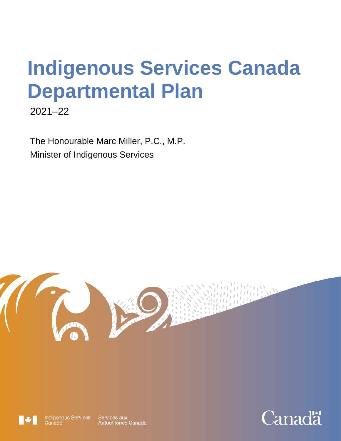# **Indigenous Services Canada Departmental Plan**

2021–22

The Honourable Marc Miller, P.C., M.P. Minister of Indigenous Services





**Indigenous Services**<br>Canada

Services aux<br>Autochtones Canada

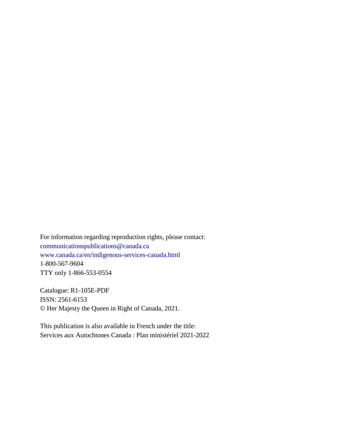For information regarding reproduction rights, please contact: [communicationspublications@canada.ca](mailto:communicationspublications@canada.ca)  [www.canada.ca/en/indigenous-services-canada.html](http://www.canada.ca/en/indigenous-services-canada.html) 1-800-567-9604 TTY only 1-866-553-0554

Catalogue: R1-105E-PDF ISSN: 2561-6153 © Her Majesty the Queen in Right of Canada, 2021.

This publication is also available in French under the title: Services aux Autochtones Canada : Plan ministériel 2021-2022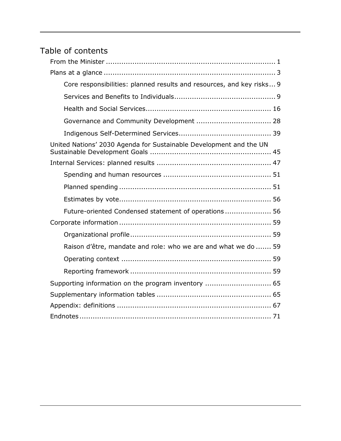# Table of contents

| Core responsibilities: planned results and resources, and key risks 9 |
|-----------------------------------------------------------------------|
|                                                                       |
|                                                                       |
|                                                                       |
|                                                                       |
| United Nations' 2030 Agenda for Sustainable Development and the UN    |
|                                                                       |
|                                                                       |
|                                                                       |
|                                                                       |
| Future-oriented Condensed statement of operations 56                  |
|                                                                       |
|                                                                       |
| Raison d'être, mandate and role: who we are and what we do  59        |
|                                                                       |
|                                                                       |
| Supporting information on the program inventory  65                   |
|                                                                       |
|                                                                       |
|                                                                       |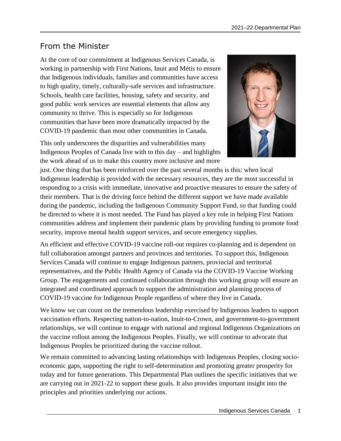# <span id="page-4-0"></span>From the Minister

At the core of our commitment at Indigenous Services Canada, is working in partnership with First Nations, Inuit and Métis to ensure that Indigenous individuals, families and communities have access to high quality, timely, culturally-safe services and infrastructure. Schools, health care facilities, housing, safety and security, and good public work services are essential elements that allow any community to thrive. This is especially so for Indigenous communities that have been more dramatically impacted by the COVID-19 pandemic than most other communities in Canada.



This only underscores the disparities and vulnerabilities many Indigenous Peoples of Canada live with to this day – and highlights the work ahead of us to make this country more inclusive and more

just. One thing that has been reinforced over the past several months is this: when local Indigenous leadership is provided with the necessary resources, they are the most successful in responding to a crisis with immediate, innovative and proactive measures to ensure the safety of their members. That is the driving force behind the different support we have made available during the pandemic, including the Indigenous Community Support Fund, so that funding could be directed to where it is most needed. The Fund has played a key role in helping First Nations communities address and implement their pandemic plans by providing funding to promote food security, improve mental health support services, and secure emergency supplies.

An efficient and effective COVID-19 vaccine roll-out requires co-planning and is dependent on full collaboration amongst partners and provinces and territories. To support this, Indigenous Services Canada will continue to engage Indigenous partners, provincial and territorial representatives, and the Public Health Agency of Canada via the COVID-19 Vaccine Working Group. The engagements and continued collaboration through this working group will ensure an integrated and coordinated approach to support the administration and planning process of COVID-19 vaccine for Indigenous People regardless of where they live in Canada.

We know we can count on the tremendous leadership exercised by Indigenous leaders to support vaccination efforts. Respecting nation-to-nation, Inuit-to-Crown, and government-to-government relationships, we will continue to engage with national and regional Indigenous Organizations on the vaccine rollout among the Indigenous Peoples. Finally, we will continue to advocate that Indigenous Peoples be prioritized during the vaccine rollout.

We remain committed to advancing lasting relationships with Indigenous Peoples, closing socioeconomic gaps, supporting the right to self-determination and promoting greater prosperity for today and for future generations. This Departmental Plan outlines the specific initiatives that we are carrying out in 2021-22 to support these goals. It also provides important insight into the principles and priorities underlying our actions.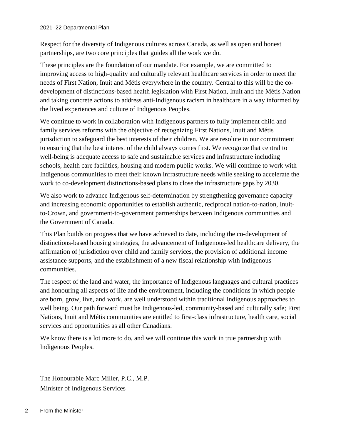Respect for the diversity of Indigenous cultures across Canada, as well as open and honest partnerships, are two core principles that guides all the work we do.

These principles are the foundation of our mandate. For example, we are committed to improving access to high-quality and culturally relevant healthcare services in order to meet the needs of First Nation, Inuit and Métis everywhere in the country. Central to this will be the codevelopment of distinctions-based health legislation with First Nation, Inuit and the Métis Nation and taking concrete actions to address anti-Indigenous racism in healthcare in a way informed by the lived experiences and culture of Indigenous Peoples.

We continue to work in collaboration with Indigenous partners to fully implement child and family services reforms with the objective of recognizing First Nations, Inuit and Métis jurisdiction to safeguard the best interests of their children. We are resolute in our commitment to ensuring that the best interest of the child always comes first. We recognize that central to well-being is adequate access to safe and sustainable services and infrastructure including schools, health care facilities, housing and modern public works. We will continue to work with Indigenous communities to meet their known infrastructure needs while seeking to accelerate the work to co-development distinctions-based plans to close the infrastructure gaps by 2030.

We also work to advance Indigenous self-determination by strengthening governance capacity and increasing economic opportunities to establish authentic, reciprocal nation-to-nation, Inuitto-Crown, and government-to-government partnerships between Indigenous communities and the Government of Canada.

This Plan builds on progress that we have achieved to date, including the co-development of distinctions-based housing strategies, the advancement of Indigenous-led healthcare delivery, the affirmation of jurisdiction over child and family services, the provision of additional income assistance supports, and the establishment of a new fiscal relationship with Indigenous communities.

The respect of the land and water, the importance of Indigenous languages and cultural practices and honouring all aspects of life and the environment, including the conditions in which people are born, grow, live, and work, are well understood within traditional Indigenous approaches to well being. Our path forward must be Indigenous-led, community-based and culturally safe; First Nations, Inuit and Métis communities are entitled to first-class infrastructure, health care, social services and opportunities as all other Canadians.

We know there is a lot more to do, and we will continue this work in true partnership with Indigenous Peoples.

\_\_\_\_\_\_\_\_\_\_\_\_\_\_\_\_\_\_\_\_\_\_\_\_\_\_\_\_\_\_\_\_\_\_\_\_\_\_\_\_\_ The Honourable Marc Miller, P.C., M.P. Minister of Indigenous Services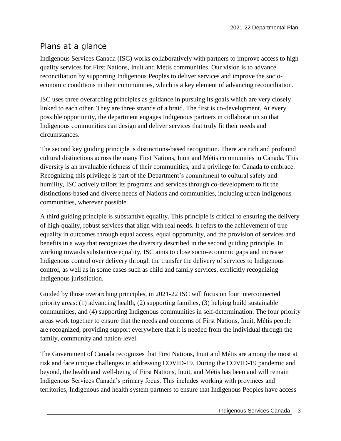# <span id="page-6-0"></span>Plans at a glance

Indigenous Services Canada (ISC) works collaboratively with partners to improve access to high quality services for First Nations, Inuit and Métis communities. Our vision is to advance reconciliation by supporting Indigenous Peoples to deliver services and improve the socioeconomic conditions in their communities, which is a key element of advancing reconciliation.

ISC uses three overarching principles as guidance in pursuing its goals which are very closely linked to each other. They are three strands of a braid. The first is co-development. At every possible opportunity, the department engages Indigenous partners in collaboration so that Indigenous communities can design and deliver services that truly fit their needs and circumstances.

The second key guiding principle is distinctions-based recognition. There are rich and profound cultural distinctions across the many First Nations, Inuit and Métis communities in Canada. This diversity is an invaluable richness of their communities, and a privilege for Canada to embrace. Recognizing this privilege is part of the Department's commitment to cultural safety and humility, ISC actively tailors its programs and services through co-development to fit the distinctions-based and diverse needs of Nations and communities, including urban Indigenous communities, wherever possible.

A third guiding principle is substantive equality. This principle is critical to ensuring the delivery of high-quality, robust services that align with real needs. It refers to the achievement of true equality in outcomes through equal access, equal opportunity, and the provision of services and benefits in a way that recognizes the diversity described in the second guiding principle. In working towards substantive equality, ISC aims to close socio-economic gaps and increase Indigenous control over delivery through the transfer the delivery of services to Indigenous control, as well as in some cases such as child and family services, explicitly recognizing Indigenous jurisdiction.

Guided by those overarching principles, in 2021-22 ISC will focus on four interconnected priority areas: (1) advancing health, (2) supporting families, (3) helping build sustainable communities, and (4) supporting Indigenous communities in self-determination. The four priority areas work together to ensure that the needs and concerns of First Nations, Inuit, Métis people are recognized, providing support everywhere that it is needed from the individual through the family, community and nation-level.

The Government of Canada recognizes that First Nations, Inuit and Métis are among the most at risk and face unique challenges in addressing COVID-19. During the COVID-19 pandemic and beyond, the health and well-being of First Nations, Inuit, and Métis has been and will remain Indigenous Services Canada's primary focus. This includes working with provinces and territories, Indigenous and health system partners to ensure that Indigenous Peoples have access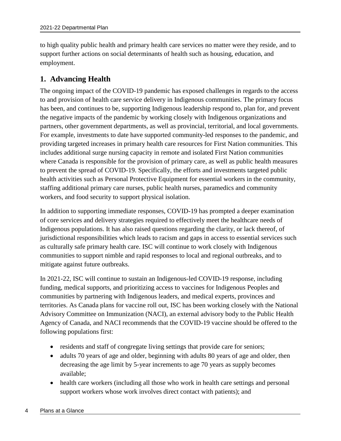to high quality public health and primary health care services no matter were they reside, and to support further actions on social determinants of health such as housing, education, and employment.

#### **1. Advancing Health**

The ongoing impact of the COVID-19 pandemic has exposed challenges in regards to the access to and provision of health care service delivery in Indigenous communities. The primary focus has been, and continues to be, supporting Indigenous leadership respond to, plan for, and prevent the negative impacts of the pandemic by working closely with Indigenous organizations and partners, other government departments, as well as provincial, territorial, and local governments. For example, investments to date have supported community-led responses to the pandemic, and providing targeted increases in primary health care resources for First Nation communities. This includes additional surge nursing capacity in remote and isolated First Nation communities where Canada is responsible for the provision of primary care, as well as public health measures to prevent the spread of COVID-19. Specifically, the efforts and investments targeted public health activities such as Personal Protective Equipment for essential workers in the community, staffing additional primary care nurses, public health nurses, paramedics and community workers, and food security to support physical isolation.

In addition to supporting immediate responses, COVID-19 has prompted a deeper examination of core services and delivery strategies required to effectively meet the healthcare needs of Indigenous populations. It has also raised questions regarding the clarity, or lack thereof, of jurisdictional responsibilities which leads to racism and gaps in access to essential services such as culturally safe primary health care. ISC will continue to work closely with Indigenous communities to support nimble and rapid responses to local and regional outbreaks, and to mitigate against future outbreaks.

In 2021-22, ISC will continue to sustain an Indigenous-led COVID-19 response, including funding, medical supports, and prioritizing access to vaccines for Indigenous Peoples and communities by partnering with Indigenous leaders, and medical experts, provinces and territories. As Canada plans for vaccine roll out, ISC has been working closely with the National Advisory Committee on Immunization (NACI), an external advisory body to the Public Health Agency of Canada, and NACI recommends that the COVID-19 vaccine should be offered to the following populations first:

- residents and staff of congregate living settings that provide care for seniors;
- adults 70 years of age and older, beginning with adults 80 years of age and older, then decreasing the age limit by 5-year increments to age 70 years as supply becomes available;
- health care workers (including all those who work in health care settings and personal support workers whose work involves direct contact with patients); and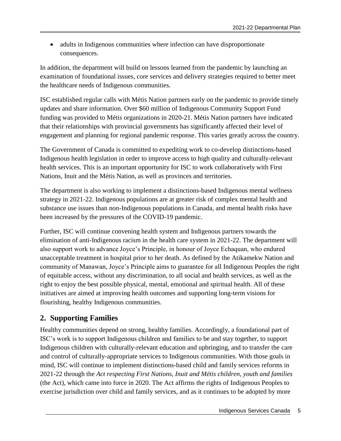• adults in Indigenous communities where infection can have disproportionate consequences.

In addition, the department will build on lessons learned from the pandemic by launching an examination of foundational issues, core services and delivery strategies required to better meet the healthcare needs of Indigenous communities.

ISC established regular calls with Métis Nation partners early on the pandemic to provide timely updates and share information. Over \$60 million of Indigenous Community Support Fund funding was provided to Métis organizations in 2020-21. Métis Nation partners have indicated that their relationships with provincial governments has significantly affected their level of engagement and planning for regional pandemic response. This varies greatly across the country.

The Government of Canada is committed to expediting work to co-develop distinctions-based Indigenous health legislation in order to improve access to high quality and culturally-relevant health services. This is an important opportunity for ISC to work collaboratively with First Nations, Inuit and the Métis Nation, as well as provinces and territories.

The department is also working to implement a distinctions-based Indigenous mental wellness strategy in 2021-22. Indigenous populations are at greater risk of complex mental health and substance use issues than non-Indigenous populations in Canada, and mental health risks have been increased by the pressures of the COVID-19 pandemic.

Further, ISC will continue convening health system and Indigenous partners towards the elimination of anti-Indigenous racism in the health care system in 2021-22. The department will also support work to advance Joyce's Principle, in honour of Joyce Echaquan, who endured unacceptable treatment in hospital prior to her death. As defined by the Atikamekw Nation and community of Manawan, Joyce's Principle aims to guarantee for all Indigenous Peoples the right of equitable access, without any discrimination, to all social and health services, as well as the right to enjoy the best possible physical, mental, emotional and spiritual health. All of these initiatives are aimed at improving health outcomes and supporting long-term visions for flourishing, healthy Indigenous communities.

### **2. Supporting Families**

Healthy communities depend on strong, healthy families. Accordingly, a foundational part of ISC's work is to support Indigenous children and families to be and stay together, to support Indigenous children with culturally-relevant education and upbringing, and to transfer the care and control of culturally-appropriate services to Indigenous communities. With those goals in mind, ISC will continue to implement distinctions-based child and family services reforms in 2021-22 through the *Act respecting First Nations, Inuit and Métis children, youth and families* (the Act), which came into force in 2020. The Act affirms the rights of Indigenous Peoples to exercise jurisdiction over child and family services, and as it continues to be adopted by more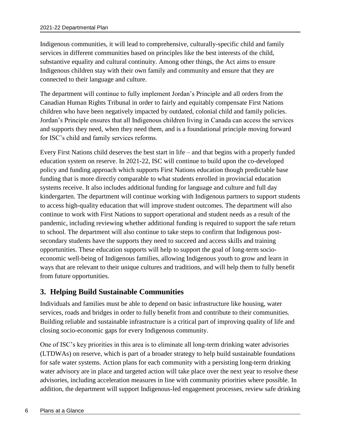Indigenous communities, it will lead to comprehensive, culturally-specific child and family services in different communities based on principles like the best interests of the child, substantive equality and cultural continuity. Among other things, the Act aims to ensure Indigenous children stay with their own family and community and ensure that they are connected to their language and culture.

The department will continue to fully implement Jordan's Principle and all orders from the Canadian Human Rights Tribunal in order to fairly and equitably compensate First Nations children who have been negatively impacted by outdated, colonial child and family policies. Jordan's Principle ensures that all Indigenous children living in Canada can access the services and supports they need, when they need them, and is a foundational principle moving forward for ISC's child and family services reforms.

Every First Nations child deserves the best start in life – and that begins with a properly funded education system on reserve. In 2021-22, ISC will continue to build upon the co-developed policy and funding approach which supports First Nations education though predictable base funding that is more directly comparable to what students enrolled in provincial education systems receive. It also includes additional funding for language and culture and full day kindergarten. The department will continue working with Indigenous partners to support students to access high-quality education that will improve student outcomes. The department will also continue to work with First Nations to support operational and student needs as a result of the pandemic, including reviewing whether additional funding is required to support the safe return to school. The department will also continue to take steps to confirm that Indigenous postsecondary students have the supports they need to succeed and access skills and training opportunities. These education supports will help to support the goal of long-term socioeconomic well-being of Indigenous families, allowing Indigenous youth to grow and learn in ways that are relevant to their unique cultures and traditions, and will help them to fully benefit from future opportunities.

## **3. Helping Build Sustainable Communities**

Individuals and families must be able to depend on basic infrastructure like housing, water services, roads and bridges in order to fully benefit from and contribute to their communities. Building reliable and sustainable infrastructure is a critical part of improving quality of life and closing socio-economic gaps for every Indigenous community.

One of ISC's key priorities in this area is to eliminate all long-term drinking water advisories (LTDWAs) on reserve, which is part of a broader strategy to help build sustainable foundations for safe water systems. Action plans for each community with a persisting long-term drinking water advisory are in place and targeted action will take place over the next year to resolve these advisories, including acceleration measures in line with community priorities where possible. In addition, the department will support Indigenous-led engagement processes, review safe drinking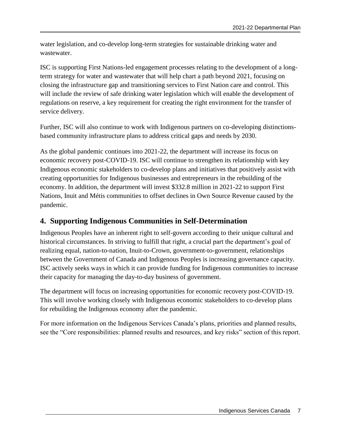water legislation, and co-develop long-term strategies for sustainable drinking water and wastewater.

ISC is supporting First Nations-led engagement processes relating to the development of a longterm strategy for water and wastewater that will help chart a path beyond 2021, focusing on closing the infrastructure gap and transitioning services to First Nation care and control. This will include the review of safe drinking water legislation which will enable the development of regulations on reserve, a key requirement for creating the right environment for the transfer of service delivery.

Further, ISC will also continue to work with Indigenous partners on co-developing distinctionsbased community infrastructure plans to address critical gaps and needs by 2030.

As the global pandemic continues into 2021-22, the department will increase its focus on economic recovery post-COVID-19. ISC will continue to strengthen its relationship with key Indigenous economic stakeholders to co-develop plans and initiatives that positively assist with creating opportunities for Indigenous businesses and entrepreneurs in the rebuilding of the economy. In addition, the department will invest \$332.8 million in 2021-22 to support First Nations, Inuit and Métis communities to offset declines in Own Source Revenue caused by the pandemic.

#### **4. Supporting Indigenous Communities in Self-Determination**

Indigenous Peoples have an inherent right to self-govern according to their unique cultural and historical circumstances. In striving to fulfill that right, a crucial part the department's goal of realizing equal, nation-to-nation, Inuit-to-Crown, government-to-government, relationships between the Government of Canada and Indigenous Peoples is increasing governance capacity. ISC actively seeks ways in which it can provide funding for Indigenous communities to increase their capacity for managing the day-to-day business of government.

The department will focus on increasing opportunities for economic recovery post-COVID-19. This will involve working closely with Indigenous economic stakeholders to co-develop plans for rebuilding the Indigenous economy after the pandemic.

<span id="page-10-0"></span>For more information on the Indigenous Services Canada's plans, priorities and planned results, see the "Core responsibilities: planned results and resources, and key risks" section of this report.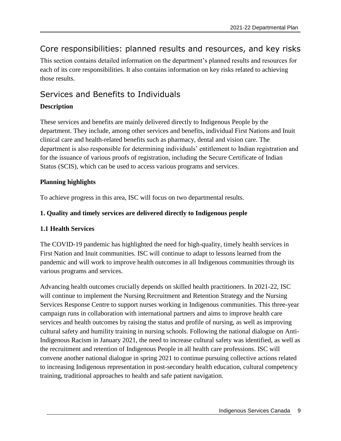# Core responsibilities: planned results and resources, and key risks

This section contains detailed information on the department's planned results and resources for each of its core responsibilities. It also contains information on key risks related to achieving those results.

# <span id="page-12-0"></span>Services and Benefits to Individuals

#### **Description**

These services and benefits are mainly delivered directly to Indigenous People by the department. They include, among other services and benefits, individual First Nations and Inuit clinical care and health-related benefits such as pharmacy, dental and vision care. The department is also responsible for determining individuals' entitlement to Indian registration and for the issuance of various proofs of registration, including the Secure Certificate of Indian Status (SCIS), which can be used to access various programs and services.

#### **Planning highlights**

To achieve progress in this area, ISC will focus on two departmental results.

#### **1. Quality and timely services are delivered directly to Indigenous people**

#### **1.1 Health Services**

The COVID-19 pandemic has highlighted the need for high-quality, timely health services in First Nation and Inuit communities. ISC will continue to adapt to lessons learned from the pandemic and will work to improve health outcomes in all Indigenous communities through its various programs and services.

Advancing health outcomes crucially depends on skilled health practitioners. In 2021-22, ISC will continue to implement the Nursing Recruitment and Retention Strategy and the Nursing Services Response Centre to support nurses working in Indigenous communities. This three-year campaign runs in collaboration with international partners and aims to improve health care services and health outcomes by raising the status and profile of nursing, as well as improving cultural safety and humility training in nursing schools. Following the national dialogue on Anti-Indigenous Racism in January 2021, the need to increase cultural safety was identified, as well as the recruitment and retention of Indigenous People in all health care professions. ISC will convene another national dialogue in spring 2021 to continue pursuing collective actions related to increasing Indigenous representation in post-secondary health education, cultural competency training, traditional approaches to health and safe patient navigation.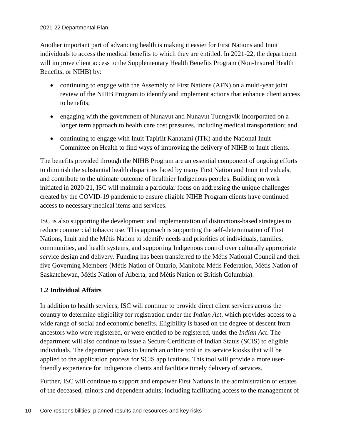Another important part of advancing health is making it easier for First Nations and Inuit individuals to access the medical benefits to which they are entitled. In 2021-22, the department will improve client access to the Supplementary Health Benefits Program (Non-Insured Health Benefits, or NIHB) by:

- continuing to engage with the Assembly of First Nations (AFN) on a multi-year joint review of the NIHB Program to identify and implement actions that enhance client access to benefits;
- engaging with the government of Nunavut and Nunavut Tunngavik Incorporated on a longer term approach to health care cost pressures, including medical transportation; and
- continuing to engage with Inuit Tapiriit Kanatami (ITK) and the National Inuit Committee on Health to find ways of improving the delivery of NIHB to Inuit clients.

The benefits provided through the NIHB Program are an essential component of ongoing efforts to diminish the substantial health disparities faced by many First Nation and Inuit individuals, and contribute to the ultimate outcome of healthier Indigenous peoples. Building on work initiated in 2020-21, ISC will maintain a particular focus on addressing the unique challenges created by the COVID-19 pandemic to ensure eligible NIHB Program clients have continued access to necessary medical items and services.

ISC is also supporting the development and implementation of distinctions-based strategies to reduce commercial tobacco use. This approach is supporting the self-determination of First Nations, Inuit and the Métis Nation to identify needs and priorities of individuals, families, communities, and health systems, and supporting Indigenous control over culturally appropriate service design and delivery. Funding has been transferred to the Métis National Council and their five Governing Members (Métis Nation of Ontario, Manitoba Métis Federation, Métis Nation of Saskatchewan, Métis Nation of Alberta, and Métis Nation of British Columbia).

#### **1.2 Individual Affairs**

In addition to health services, ISC will continue to provide direct client services across the country to determine eligibility for registration under the *Indian Act*, which provides access to a wide range of social and economic benefits. Eligibility is based on the degree of descent from ancestors who were registered, or were entitled to be registered, under the *Indian Act*. The department will also continue to issue a Secure Certificate of Indian Status (SCIS) to eligible individuals. The department plans to launch an online tool in its service kiosks that will be applied to the application process for SCIS applications. This tool will provide a more userfriendly experience for Indigenous clients and facilitate timely delivery of services.

Further, ISC will continue to support and empower First Nations in the administration of estates of the deceased, minors and dependent adults; including facilitating access to the management of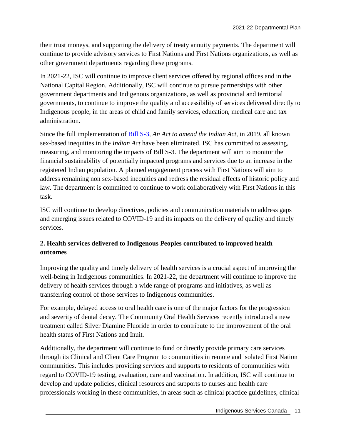their trust moneys, and supporting the delivery of treaty annuity payments. The department will continue to provide advisory services to First Nations and First Nations organizations, as well as other government departments regarding these programs.

In 2021-22, ISC will continue to improve client services offered by regional offices and in the National Capital Region. Additionally, ISC will continue to pursue partnerships with other government departments and Indigenous organizations, as well as provincial and territorial governments, to continue to improve the quality and accessibility of services delivered directly to Indigenous people, in the areas of child and family services, education, medical care and tax administration.

Since the full implementation of [Bill S-3,](https://www.parl.ca/DocumentViewer/en/42-1/bill/S-3/royal-assent) *An Act to amend the Indian Act,* in 2019, all known sex-based inequities in the *Indian Act* have been eliminated. ISC has committed to assessing, measuring, and monitoring the impacts of Bill S-3. The department will aim to monitor the financial sustainability of potentially impacted programs and services due to an increase in the registered Indian population. A planned engagement process with First Nations will aim to address remaining non sex-based inequities and redress the residual effects of historic policy and law. The department is committed to continue to work collaboratively with First Nations in this task.

ISC will continue to develop directives, policies and communication materials to address gaps and emerging issues related to COVID-19 and its impacts on the delivery of quality and timely services.

#### **2. Health services delivered to Indigenous Peoples contributed to improved health outcomes**

Improving the quality and timely delivery of health services is a crucial aspect of improving the well-being in Indigenous communities. In 2021-22, the department will continue to improve the delivery of health services through a wide range of programs and initiatives, as well as transferring control of those services to Indigenous communities.

For example, delayed access to oral health care is one of the major factors for the progression and severity of dental decay. The Community Oral Health Services recently introduced a new treatment called Silver Diamine Fluoride in order to contribute to the improvement of the oral health status of First Nations and Inuit.

Additionally, the department will continue to fund or directly provide primary care services through its Clinical and Client Care Program to communities in remote and isolated First Nation communities. This includes providing services and supports to residents of communities with regard to COVID-19 testing, evaluation, care and vaccination. In addition, ISC will continue to develop and update policies, clinical resources and supports to nurses and health care professionals working in these communities, in areas such as clinical practice guidelines, clinical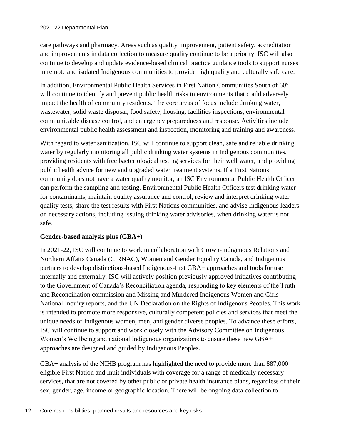care pathways and pharmacy. Areas such as quality improvement, patient safety, accreditation and improvements in data collection to measure quality continue to be a priority. ISC will also continue to develop and update evidence-based clinical practice guidance tools to support nurses in remote and isolated Indigenous communities to provide high quality and culturally safe care.

In addition, Environmental Public Health Services in First Nation Communities South of 60° will continue to identify and prevent public health risks in environments that could adversely impact the health of community residents. The core areas of focus include drinking water, wastewater, solid waste disposal, food safety, housing, facilities inspections, environmental communicable disease control, and emergency preparedness and response. Activities include environmental public health assessment and inspection, monitoring and training and awareness.

With regard to water sanitization, ISC will continue to support clean, safe and reliable drinking water by regularly monitoring all public drinking water systems in Indigenous communities, providing residents with free bacteriological testing services for their well water, and providing public health advice for new and upgraded water treatment systems. If a First Nations community does not have a water quality monitor, an ISC Environmental Public Health Officer can perform the sampling and testing. Environmental Public Health Officers test drinking water for contaminants, maintain quality assurance and control, review and interpret drinking water quality tests, share the test results with First Nations communities, and advise Indigenous leaders on necessary actions, including issuing drinking water advisories, when drinking water is not safe.

#### **Gender-based analysis plus (GBA+)**

In 2021-22, ISC will continue to work in collaboration with Crown-Indigenous Relations and Northern Affairs Canada (CIRNAC), Women and Gender Equality Canada, and Indigenous partners to develop distinctions-based Indigenous-first GBA+ approaches and tools for use internally and externally. ISC will actively position previously approved initiatives contributing to the Government of Canada's Reconciliation agenda, responding to key elements of the Truth and Reconciliation commission and Missing and Murdered Indigenous Women and Girls National Inquiry reports, and the UN Declaration on the Rights of Indigenous Peoples. This work is intended to promote more responsive, culturally competent policies and services that meet the unique needs of Indigenous women, men, and gender diverse peoples. To advance these efforts, ISC will continue to support and work closely with the Advisory Committee on Indigenous Women's Wellbeing and national Indigenous organizations to ensure these new GBA+ approaches are designed and guided by Indigenous Peoples.

GBA+ analysis of the NIHB program has highlighted the need to provide more than 887,000 eligible First Nation and Inuit individuals with coverage for a range of medically necessary services, that are not covered by other public or private health insurance plans, regardless of their sex, gender, age, income or geographic location. There will be ongoing data collection to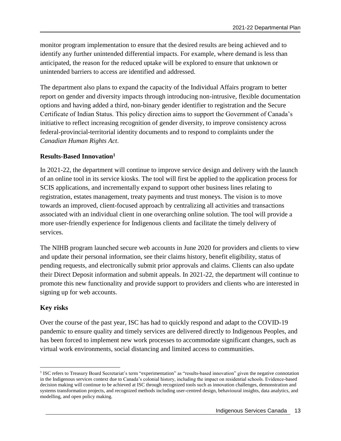monitor program implementation to ensure that the desired results are being achieved and to identify any further unintended differential impacts. For example, where demand is less than anticipated, the reason for the reduced uptake will be explored to ensure that unknown or unintended barriers to access are identified and addressed.

The department also plans to expand the capacity of the Individual Affairs program to better report on gender and diversity impacts through introducing non-intrusive, flexible documentation options and having added a third, non-binary gender identifier to registration and the Secure Certificate of Indian Status. This policy direction aims to support the Government of Canada's initiative to reflect increasing recognition of gender diversity, to improve consistency across federal-provincial-territorial identity documents and to respond to complaints under the *Canadian Human Rights Act*.

#### **Results-Based Innovation<sup>1</sup>**

In 2021-22, the department will continue to improve service design and delivery with the launch of an online tool in its service kiosks. The tool will first be applied to the application process for SCIS applications, and incrementally expand to support other business lines relating to registration, estates management, treaty payments and trust moneys. The vision is to move towards an improved, client-focused approach by centralizing all activities and transactions associated with an individual client in one overarching online solution. The tool will provide a more user-friendly experience for Indigenous clients and facilitate the timely delivery of services.

The NIHB program launched secure web accounts in June 2020 for providers and clients to view and update their personal information, see their claims history, benefit eligibility, status of pending requests, and electronically submit prior approvals and claims. Clients can also update their Direct Deposit information and submit appeals. In 2021-22, the department will continue to promote this new functionality and provide support to providers and clients who are interested in signing up for web accounts.

#### **Key risks**

 $\overline{a}$ 

Over the course of the past year, ISC has had to quickly respond and adapt to the COVID-19 pandemic to ensure quality and timely services are delivered directly to Indigenous Peoples, and has been forced to implement new work processes to accommodate significant changes, such as virtual work environments, social distancing and limited access to communities.

<sup>&</sup>lt;sup>1</sup> ISC refers to Treasury Board Secretariat's term "experimentation" as "results-based innovation" given the negative connotation in the Indigenous services context due to Canada's colonial history, including the impact on residential schools. Evidence-based decision making will continue to be achieved at ISC through recognized tools such as innovation challenges, demonstration and systems transformation projects, and recognized methods including user-centred design, behavioural insights, data analytics, and modelling, and open policy making.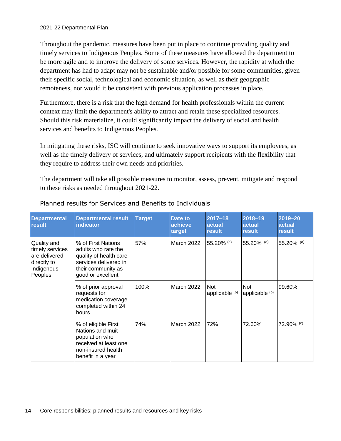Throughout the pandemic, measures have been put in place to continue providing quality and timely services to Indigenous Peoples. Some of these measures have allowed the department to be more agile and to improve the delivery of some services. However, the rapidity at which the department has had to adapt may not be sustainable and/or possible for some communities, given their specific social, technological and economic situation, as well as their geographic remoteness, nor would it be consistent with previous application processes in place.

Furthermore, there is a risk that the high demand for health professionals within the current context may limit the department's ability to attract and retain these specialized resources. Should this risk materialize, it could significantly impact the delivery of social and health services and benefits to Indigenous Peoples.

In mitigating these risks, ISC will continue to seek innovative ways to support its employees, as well as the timely delivery of services, and ultimately support recipients with the flexibility that they require to address their own needs and priorities.

The department will take all possible measures to monitor, assess, prevent, mitigate and respond to these risks as needed throughout 2021-22.

| <b>Departmental</b><br>result                                                           | <b>Departmental result</b><br><b>indicator</b>                                                                                          | <b>Target</b> | <b>Date to</b><br>achieve<br>target | 2017-18<br>actual<br>result  | 2018-19<br>actual<br>result | 2019-20<br>actual<br>result |
|-----------------------------------------------------------------------------------------|-----------------------------------------------------------------------------------------------------------------------------------------|---------------|-------------------------------------|------------------------------|-----------------------------|-----------------------------|
| Quality and<br>timely services<br>are delivered<br>directly to<br>Indigenous<br>Peoples | % of First Nations<br>adults who rate the<br>quality of health care<br>services delivered in<br>their community as<br>good or excellent | 57%           | March 2022                          | 55.20% (a)                   | 55.20% (a)                  | 55.20% (a)                  |
|                                                                                         | % of prior approval<br>requests for<br>medication coverage<br>completed within 24<br>hours                                              | 100%          | March 2022                          | <b>Not</b><br>applicable (b) | Not<br>applicable (b)       | 99.60%                      |
|                                                                                         | % of eligible First<br>Nations and Inuit<br>population who<br>received at least one<br>non-insured health<br>benefit in a year          | 74%           | March 2022                          | 72%                          | 72.60%                      | 72.90% (c)                  |

#### Planned results for Services and Benefits to Individuals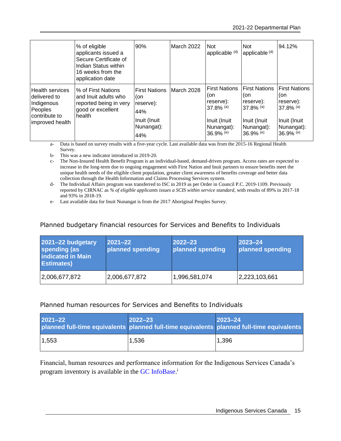|                                                                                                     | % of eligible<br>applicants issued a<br>Secure Certificate of<br>Indian Status within<br>16 weeks from the<br>application date | 90%                                                                                  | March 2022 | Not.<br>applicable <sup>(d)</sup>                                                                                 | <b>Not</b><br>applicable (d)                                                                            | 94.12%                                                                                           |
|-----------------------------------------------------------------------------------------------------|--------------------------------------------------------------------------------------------------------------------------------|--------------------------------------------------------------------------------------|------------|-------------------------------------------------------------------------------------------------------------------|---------------------------------------------------------------------------------------------------------|--------------------------------------------------------------------------------------------------|
| <b>Health services</b><br>delivered to<br>Indigenous<br>Peoples<br>contribute to<br>improved health | % of First Nations<br>and Inuit adults who<br>reported being in very<br>good or excellent<br>health                            | <b>First Nations</b><br>(on<br>reserve):<br>44%<br>Inuit (Inuit<br>Nunangat):<br>44% | March 2028 | <b>First Nations</b><br>(on<br>reserve):<br>$37.8\%$ (a)<br>Inuit (Inuit<br>Nunangat):<br>$36.9\%$ <sup>(e)</sup> | <b>First Nations</b><br>(on<br>reserve):<br>$37.8\%$ (a)<br>Inuit (Inuit)<br>Nunangat):<br>$36.9\%$ (e) | <b>First Nations</b><br>(on<br>reserve):<br>37.8% (a)<br>Inuit (Inuit<br>Nunangat):<br>36.9% (e) |

a- Data is based on survey results with a five-year cycle. Last available data was from the 2015-16 Regional Health Survey.

b- This was a new indicator introduced in 2019-20.

c- The Non-Insured Health Benefit Program is an individual-based, demand-driven program. Access rates are expected to increase in the long-term due to ongoing engagement with First Nation and Inuit partners to ensure benefits meet the unique health needs of the eligible client population, greater client awareness of benefits coverage and better data collection through the Health Information and Claims Processing Services system.

d- The Individual Affairs program was transferred to ISC in 2019 as per Order in Council P.C. 2019-1109. Previously reported by CIRNAC as *% of eligible applicants issues a SCIS within service standard,* with results of 89% in 2017-18 and 93% in 2018-19.

e- Last available data for Inuit Nunangat is from the 2017 Aboriginal Peoples Survey.

#### Planned budgetary financial resources for Services and Benefits to Individuals

| 2021-22 budgetary<br>spending (as<br><b>indicated in Main</b><br><b>Estimates</b> ) | $2021 - 22$<br>planned spending | $2022 - 23$<br>planned spending | $2023 - 24$<br>planned spending |
|-------------------------------------------------------------------------------------|---------------------------------|---------------------------------|---------------------------------|
| 2,006,677,872                                                                       | 2,006,677,872                   | 1,996,581,074                   | 2,223,103,661                   |

#### Planned human resources for Services and Benefits to Individuals

| 2021-22<br>planned full-time equivalents planned full-time equivalents planned full-time equivalents | $2022 - 23$ | $ 2023 - 24$ |
|------------------------------------------------------------------------------------------------------|-------------|--------------|
| 1,553                                                                                                | 1,536       | 1,396        |

Financial, human resources and performance information for the Indigenous Services Canada's program inventory is available in the GC [InfoBase.](https://www.tbs-sct.gc.ca/ems-sgd/edb-bdd/index-eng.html)<sup>i</sup>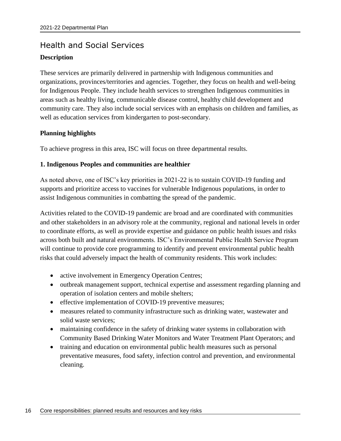# <span id="page-19-0"></span>Health and Social Services **Description**

These services are primarily delivered in partnership with Indigenous communities and organizations, provinces/territories and agencies. Together, they focus on health and well-being for Indigenous People. They include health services to strengthen Indigenous communities in areas such as healthy living, communicable disease control, healthy child development and community care. They also include social services with an emphasis on children and families, as well as education services from kindergarten to post-secondary.

#### **Planning highlights**

To achieve progress in this area, ISC will focus on three departmental results.

#### **1. Indigenous Peoples and communities are healthier**

As noted above, one of ISC's key priorities in 2021-22 is to sustain COVID-19 funding and supports and prioritize access to vaccines for vulnerable Indigenous populations, in order to assist Indigenous communities in combatting the spread of the pandemic.

Activities related to the COVID-19 pandemic are broad and are coordinated with communities and other stakeholders in an advisory role at the community, regional and national levels in order to coordinate efforts, as well as provide expertise and guidance on public health issues and risks across both built and natural environments. ISC's Environmental Public Health Service Program will continue to provide core programming to identify and prevent environmental public health risks that could adversely impact the health of community residents. This work includes:

- active involvement in Emergency Operation Centres;
- outbreak management support, technical expertise and assessment regarding planning and operation of isolation centers and mobile shelters;
- effective implementation of COVID-19 preventive measures;
- measures related to community infrastructure such as drinking water, wastewater and solid waste services;
- maintaining confidence in the safety of drinking water systems in collaboration with Community Based Drinking Water Monitors and Water Treatment Plant Operators; and
- training and education on environmental public health measures such as personal preventative measures, food safety, infection control and prevention, and environmental cleaning.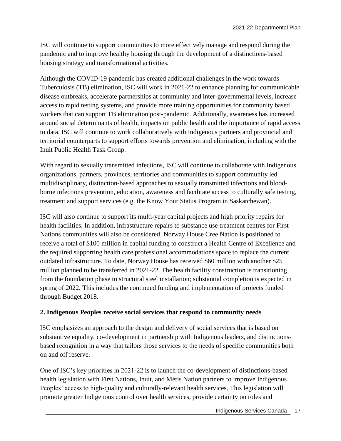ISC will continue to support communities to more effectively manage and respond during the pandemic and to improve healthy housing through the development of a distinctions-based housing strategy and transformational activities.

Although the COVID-19 pandemic has created additional challenges in the work towards Tuberculosis (TB) elimination, ISC will work in 2021-22 to enhance planning for communicable disease outbreaks, accelerate partnerships at community and inter-governmental levels, increase access to rapid testing systems, and provide more training opportunities for community based workers that can support TB elimination post-pandemic. Additionally, awareness has increased around social determinants of health, impacts on public health and the importance of rapid access to data. ISC will continue to work collaboratively with Indigenous partners and provincial and territorial counterparts to support efforts towards prevention and elimination, including with the Inuit Public Health Task Group.

With regard to sexually transmitted infections, ISC will continue to collaborate with Indigenous organizations, partners, provinces, territories and communities to support community led multidisciplinary, distinction-based approaches to sexually transmitted infections and bloodborne infections prevention, education, awareness and facilitate access to culturally safe testing, treatment and support services (e.g. the Know Your Status Program in Saskatchewan).

ISC will also continue to support its multi-year capital projects and high priority repairs for health facilities. In addition, infrastructure repairs to substance use treatment centres for First Nations communities will also be considered. Norway House Cree Nation is positioned to receive a total of \$100 million in capital funding to construct a Health Centre of Excellence and the required supporting health care professional accommodations space to replace the current outdated infrastructure. To date, Norway House has received \$60 million with another \$25 million planned to be transferred in 2021-22. The health facility construction is transitioning from the foundation phase to structural steel installation; substantial completion is expected in spring of 2022. This includes the continued funding and implementation of projects funded through Budget 2018.

#### **2. Indigenous Peoples receive social services that respond to community needs**

ISC emphasizes an approach to the design and delivery of social services that is based on substantive equality, co-development in partnership with Indigenous leaders, and distinctionsbased recognition in a way that tailors those services to the needs of specific communities both on and off reserve.

One of ISC's key priorities in 2021-22 is to launch the co-development of distinctions-based health legislation with First Nations, Inuit, and Métis Nation partners to improve Indigenous Peoples' access to high-quality and culturally-relevant health services. This legislation will promote greater Indigenous control over health services, provide certainty on roles and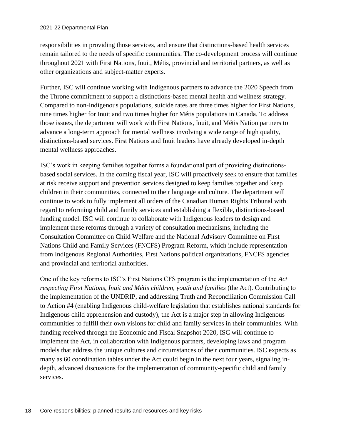responsibilities in providing those services, and ensure that distinctions-based health services remain tailored to the needs of specific communities. The co-development process will continue throughout 2021 with First Nations, Inuit, Métis, provincial and territorial partners, as well as other organizations and subject-matter experts.

Further, ISC will continue working with Indigenous partners to advance the 2020 Speech from the Throne commitment to support a distinctions-based mental health and wellness strategy. Compared to non-Indigenous populations, suicide rates are three times higher for First Nations, nine times higher for Inuit and two times higher for Métis populations in Canada. To address those issues, the department will work with First Nations, Inuit, and Métis Nation partners to advance a long-term approach for mental wellness involving a wide range of high quality, distinctions-based services. First Nations and Inuit leaders have already developed in-depth mental wellness approaches.

ISC's work in keeping families together forms a foundational part of providing distinctionsbased social services. In the coming fiscal year, ISC will proactively seek to ensure that families at risk receive support and prevention services designed to keep families together and keep children in their communities, connected to their language and culture. The department will continue to work to fully implement all orders of the Canadian Human Rights Tribunal with regard to reforming child and family services and establishing a flexible, distinctions-based funding model. ISC will continue to collaborate with Indigenous leaders to design and implement these reforms through a variety of consultation mechanisms, including the Consultation Committee on Child Welfare and the National Advisory Committee on First Nations Child and Family Services (FNCFS) Program Reform, which include representation from Indigenous Regional Authorities, First Nations political organizations, FNCFS agencies and provincial and territorial authorities.

One of the key reforms to ISC's First Nations CFS program is the implementation of the *Act respecting First Nations, Inuit and Métis children, youth and families* (the Act). Contributing to the implementation of the UNDRIP, and addressing Truth and Reconciliation Commission Call to Action #4 (enabling Indigenous child-welfare legislation that establishes national standards for Indigenous child apprehension and custody), the Act is a major step in allowing Indigenous communities to fulfill their own visions for child and family services in their communities. With funding received through the Economic and Fiscal Snapshot 2020, ISC will continue to implement the Act, in collaboration with Indigenous partners, developing laws and program models that address the unique cultures and circumstances of their communities. ISC expects as many as 60 coordination tables under the Act could begin in the next four years, signaling indepth, advanced discussions for the implementation of community-specific child and family services.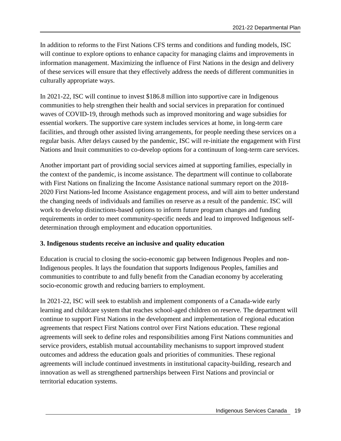In addition to reforms to the First Nations CFS terms and conditions and funding models, ISC will continue to explore options to enhance capacity for managing claims and improvements in information management. Maximizing the influence of First Nations in the design and delivery of these services will ensure that they effectively address the needs of different communities in culturally appropriate ways.

In 2021-22, ISC will continue to invest \$186.8 million into supportive care in Indigenous communities to help strengthen their health and social services in preparation for continued waves of COVID-19, through methods such as improved monitoring and wage subsidies for essential workers. The supportive care system includes services at home, in long-term care facilities, and through other assisted living arrangements, for people needing these services on a regular basis. After delays caused by the pandemic, ISC will re-initiate the engagement with First Nations and Inuit communities to co-develop options for a continuum of long-term care services.

Another important part of providing social services aimed at supporting families, especially in the context of the pandemic, is income assistance. The department will continue to collaborate with First Nations on finalizing the Income Assistance national summary report on the 2018- 2020 First Nations-led Income Assistance engagement process, and will aim to better understand the changing needs of individuals and families on reserve as a result of the pandemic. ISC will work to develop distinctions-based options to inform future program changes and funding requirements in order to meet community-specific needs and lead to improved Indigenous selfdetermination through employment and education opportunities.

#### **3. Indigenous students receive an inclusive and quality education**

Education is crucial to closing the socio-economic gap between Indigenous Peoples and non-Indigenous peoples. It lays the foundation that supports Indigenous Peoples, families and communities to contribute to and fully benefit from the Canadian economy by accelerating socio-economic growth and reducing barriers to employment.

In 2021-22, ISC will seek to establish and implement components of a Canada-wide early learning and childcare system that reaches school-aged children on reserve. The department will continue to support First Nations in the development and implementation of regional education agreements that respect First Nations control over First Nations education. These regional agreements will seek to define roles and responsibilities among First Nations communities and service providers, establish mutual accountability mechanisms to support improved student outcomes and address the education goals and priorities of communities. These regional agreements will include continued investments in institutional capacity-building, research and innovation as well as strengthened partnerships between First Nations and provincial or territorial education systems.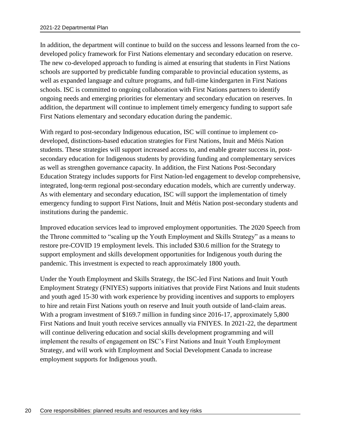In addition, the department will continue to build on the success and lessons learned from the codeveloped policy framework for First Nations elementary and secondary education on reserve. The new co-developed approach to funding is aimed at ensuring that students in First Nations schools are supported by predictable funding comparable to provincial education systems, as well as expanded language and culture programs, and full-time kindergarten in First Nations schools. ISC is committed to ongoing collaboration with First Nations partners to identify ongoing needs and emerging priorities for elementary and secondary education on reserves. In addition, the department will continue to implement timely emergency funding to support safe First Nations elementary and secondary education during the pandemic.

With regard to post-secondary Indigenous education, ISC will continue to implement codeveloped, distinctions-based education strategies for First Nations, Inuit and Métis Nation students. These strategies will support increased access to, and enable greater success in, postsecondary education for Indigenous students by providing funding and complementary services as well as strengthen governance capacity. In addition, the First Nations Post-Secondary Education Strategy includes supports for First Nation-led engagement to develop comprehensive, integrated, long-term regional post-secondary education models, which are currently underway. As with elementary and secondary education, ISC will support the implementation of timely emergency funding to support First Nations, Inuit and Métis Nation post-secondary students and institutions during the pandemic.

Improved education services lead to improved employment opportunities. The 2020 Speech from the Throne committed to "scaling up the Youth Employment and Skills Strategy" as a means to restore pre-COVID 19 employment levels. This included \$30.6 million for the Strategy to support employment and skills development opportunities for Indigenous youth during the pandemic. This investment is expected to reach approximately 1800 youth.

Under the Youth Employment and Skills Strategy, the ISC-led First Nations and Inuit Youth Employment Strategy (FNIYES) supports initiatives that provide First Nations and Inuit students and youth aged 15-30 with work experience by providing incentives and supports to employers to hire and retain First Nations youth on reserve and Inuit youth outside of land-claim areas. With a program investment of \$169.7 million in funding since 2016-17, approximately 5,800 First Nations and Inuit youth receive services annually via FNIYES. In 2021-22, the department will continue delivering education and social skills development programming and will implement the results of engagement on ISC's First Nations and Inuit Youth Employment Strategy, and will work with Employment and Social Development Canada to increase employment supports for Indigenous youth.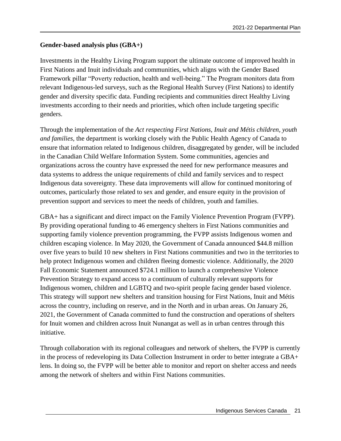#### **Gender-based analysis plus (GBA+)**

Investments in the Healthy Living Program support the ultimate outcome of improved health in First Nations and Inuit individuals and communities, which aligns with the Gender Based Framework pillar "Poverty reduction, health and well-being." The Program monitors data from relevant Indigenous-led surveys, such as the Regional Health Survey (First Nations) to identify gender and diversity specific data. Funding recipients and communities direct Healthy Living investments according to their needs and priorities, which often include targeting specific genders.

Through the implementation of the *Act respecting First Nations, Inuit and Métis children, youth and families,* the department is working closely with the Public Health Agency of Canada to ensure that information related to Indigenous children, disaggregated by gender, will be included in the Canadian Child Welfare Information System. Some communities, agencies and organizations across the country have expressed the need for new performance measures and data systems to address the unique requirements of child and family services and to respect Indigenous data sovereignty. These data improvements will allow for continued monitoring of outcomes, particularly those related to sex and gender, and ensure equity in the provision of prevention support and services to meet the needs of children, youth and families.

GBA+ has a significant and direct impact on the Family Violence Prevention Program (FVPP). By providing operational funding to 46 emergency shelters in First Nations communities and supporting family violence prevention programming, the FVPP assists Indigenous women and children escaping violence. In May 2020, the Government of Canada announced \$44.8 million over five years to build 10 new shelters in First Nations communities and two in the territories to help protect Indigenous women and children fleeing domestic violence. Additionally, the 2020 Fall Economic Statement announced \$724.1 million to launch a comprehensive Violence Prevention Strategy to expand access to a continuum of culturally relevant supports for Indigenous women, children and LGBTQ and two-spirit people facing gender based violence. This strategy will support new shelters and transition housing for First Nations, Inuit and Métis across the country, including on reserve, and in the North and in urban areas. On January 26, 2021, the Government of Canada committed to fund the construction and operations of shelters for Inuit women and children across Inuit Nunangat as well as in urban centres through this initiative.

Through collaboration with its regional colleagues and network of shelters, the FVPP is currently in the process of redeveloping its Data Collection Instrument in order to better integrate a GBA+ lens. In doing so, the FVPP will be better able to monitor and report on shelter access and needs among the network of shelters and within First Nations communities.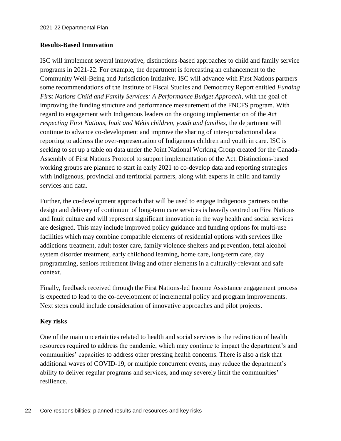#### **Results-Based Innovation**

ISC will implement several innovative, distinctions-based approaches to child and family service programs in 2021-22. For example, the department is forecasting an enhancement to the Community Well-Being and Jurisdiction Initiative. ISC will advance with First Nations partners some recommendations of the Institute of Fiscal Studies and Democracy Report entitled *Funding First Nations Child and Family Services: A Performance Budget Approach*, with the goal of improving the funding structure and performance measurement of the FNCFS program*.* With regard to engagement with Indigenous leaders on the ongoing implementation of the *Act respecting First Nations, Inuit and Métis children, youth and families*, the department will continue to advance co-development and improve the sharing of inter-jurisdictional data reporting to address the over-representation of Indigenous children and youth in care. ISC is seeking to set up a table on data under the Joint National Working Group created for the Canada-Assembly of First Nations Protocol to support implementation of the Act. Distinctions-based working groups are planned to start in early 2021 to co-develop data and reporting strategies with Indigenous, provincial and territorial partners, along with experts in child and family services and data.

Further, the co-development approach that will be used to engage Indigenous partners on the design and delivery of continuum of long-term care services is heavily centred on First Nations and Inuit culture and will represent significant innovation in the way health and social services are designed. This may include improved policy guidance and funding options for multi-use facilities which may combine compatible elements of residential options with services like addictions treatment, adult foster care, family violence shelters and prevention, fetal alcohol system disorder treatment, early childhood learning, home care, long-term care, day programming, seniors retirement living and other elements in a culturally-relevant and safe context.

Finally, feedback received through the First Nations-led Income Assistance engagement process is expected to lead to the co-development of incremental policy and program improvements. Next steps could include consideration of innovative approaches and pilot projects.

#### **Key risks**

One of the main uncertainties related to health and social services is the redirection of health resources required to address the pandemic, which may continue to impact the department's and communities' capacities to address other pressing health concerns. There is also a risk that additional waves of COVID-19, or multiple concurrent events, may reduce the department's ability to deliver regular programs and services, and may severely limit the communities' resilience.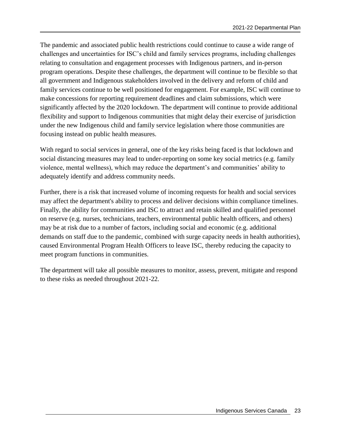The pandemic and associated public health restrictions could continue to cause a wide range of challenges and uncertainties for ISC's child and family services programs, including challenges relating to consultation and engagement processes with Indigenous partners, and in-person program operations. Despite these challenges, the department will continue to be flexible so that all government and Indigenous stakeholders involved in the delivery and reform of child and family services continue to be well positioned for engagement. For example, ISC will continue to make concessions for reporting requirement deadlines and claim submissions, which were significantly affected by the 2020 lockdown. The department will continue to provide additional flexibility and support to Indigenous communities that might delay their exercise of jurisdiction under the new Indigenous child and family service legislation where those communities are focusing instead on public health measures.

With regard to social services in general, one of the key risks being faced is that lockdown and social distancing measures may lead to under-reporting on some key social metrics (e.g. family violence, mental wellness), which may reduce the department's and communities' ability to adequately identify and address community needs.

Further, there is a risk that increased volume of incoming requests for health and social services may affect the department's ability to process and deliver decisions within compliance timelines. Finally, the ability for communities and ISC to attract and retain skilled and qualified personnel on reserve (e.g. nurses, technicians, teachers, environmental public health officers, and others) may be at risk due to a number of factors, including social and economic (e.g. additional demands on staff due to the pandemic, combined with surge capacity needs in health authorities), caused Environmental Program Health Officers to leave ISC, thereby reducing the capacity to meet program functions in communities.

The department will take all possible measures to monitor, assess, prevent, mitigate and respond to these risks as needed throughout 2021-22.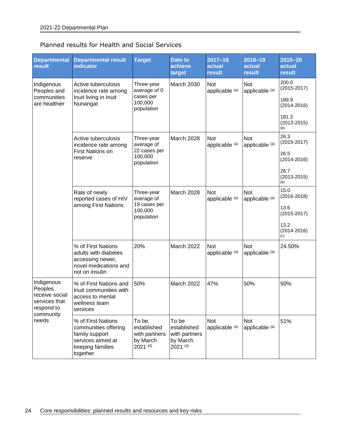|  |  |  |  |  |  | Planned results for Health and Social Services |
|--|--|--|--|--|--|------------------------------------------------|
|--|--|--|--|--|--|------------------------------------------------|

| <b>Departmental</b><br>result                                                       | <b>Departmental result</b><br><b>indicator</b>                                                                    | <b>Target</b>                                                     | <b>Date to</b><br>achieve<br>target                             | $2017 - 18$<br>actual<br>result | 2018-19<br>actual<br>result | 2019-20<br>actual<br>result                                                          |
|-------------------------------------------------------------------------------------|-------------------------------------------------------------------------------------------------------------------|-------------------------------------------------------------------|-----------------------------------------------------------------|---------------------------------|-----------------------------|--------------------------------------------------------------------------------------|
| Indigenous<br>Peoples and<br>communities<br>are healthier                           | Active tuberculosis<br>incidence rate among<br>Inuit living in Inuit<br>Nunangat                                  | Three-year<br>average of 0<br>cases per<br>100,000<br>population  | March 2030                                                      | Not<br>applicable (a)           | Not<br>applicable (a)       | 200.0<br>$(2015 - 2017)$<br>189.9<br>$(2014 - 2016)$                                 |
|                                                                                     |                                                                                                                   |                                                                   |                                                                 |                                 |                             | 181.3<br>$(2013 - 2015)$<br>(b)                                                      |
|                                                                                     | Active tuberculosis<br>incidence rate among<br>First Nations on<br>reserve                                        | Three-year<br>average of<br>22 cases per<br>100,000<br>population | March 2028                                                      | Not<br>applicable (a)           | Not<br>applicable (a)       | 26.3<br>$(2015 - 2017)$<br>26.5<br>$(2014 - 2016)$<br>26.7<br>$(2013 - 2015)$<br>(b) |
|                                                                                     | Rate of newly<br>reported cases of HIV<br>among First Nations                                                     | Three-year<br>average of<br>19 cases per<br>100,000<br>population | March 2028                                                      | Not<br>applicable (a)           | Not<br>applicable (a)       | 15.0<br>$(2016 - 2018)$<br>13.6<br>$(2015 - 2017)$<br>13.2<br>$(2014 - 2016)$<br>(c) |
|                                                                                     | % of First Nations<br>adults with diabetes<br>accessing newer,<br>novel medications and<br>not on insulin         | 20%                                                               | March 2022                                                      | Not<br>applicable (a)           | Not<br>applicable (a)       | 24.50%                                                                               |
| Indigenous<br>Peoples<br>receive social<br>services that<br>respond to<br>community | % of First Nations and<br>Inuit communities with<br>access to mental<br>wellness team<br>services                 | 50%                                                               | March 2022                                                      | 47%                             | 50%                         | 50%                                                                                  |
| needs                                                                               | % of First Nations<br>communities offering<br>family support<br>services aimed at<br>keeping families<br>together | To be<br>established<br>with partners<br>by March<br>2021 (d)     | To be<br>established<br>with partners<br>by March<br>$2021$ (d) | <b>Not</b><br>applicable (a)    | Not<br>applicable (a)       | 51%                                                                                  |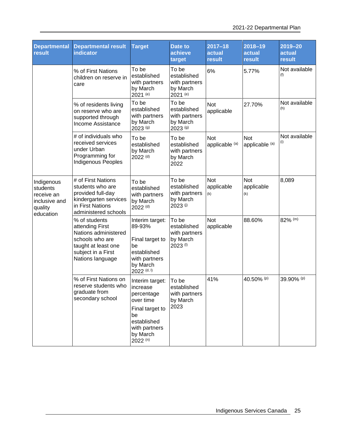| <b>Departmental</b><br>result                                                 | <b>Departmental result</b><br><b>indicator</b>                                                                                               | <b>Target</b>                                                                                                                               | <b>Date to</b><br>achieve<br>target                           | $2017 - 18$<br>actual<br>result | 2018-19<br>actual<br>result     | $2019 - 20$<br>actual<br>result |
|-------------------------------------------------------------------------------|----------------------------------------------------------------------------------------------------------------------------------------------|---------------------------------------------------------------------------------------------------------------------------------------------|---------------------------------------------------------------|---------------------------------|---------------------------------|---------------------------------|
|                                                                               | % of First Nations<br>children on reserve in<br>care                                                                                         | To be<br>established<br>with partners<br>by March<br>2021 (e)                                                                               | To be<br>established<br>with partners<br>by March<br>2021 (e) | 6%                              | 5.77%                           | Not available<br>(f)            |
|                                                                               | % of residents living<br>on reserve who are<br>supported through<br>Income Assistance                                                        | To be<br>established<br>with partners<br>by March<br>2023 (g)                                                                               | To be<br>established<br>with partners<br>by March<br>2023 (g) | Not<br>applicable               | 27.70%                          | Not available<br>(h)            |
|                                                                               | # of individuals who<br>received services<br>under Urban<br>Programming for<br><b>Indigenous Peoples</b>                                     | To be<br>established<br>by March<br>2022 <sup>(d)</sup>                                                                                     | To be<br>established<br>with partners<br>by March<br>2022     | <b>Not</b><br>applicable (a)    | <b>Not</b><br>applicable (a)    | Not available<br>(i)            |
| Indigenous<br>students<br>receive an<br>inclusive and<br>quality<br>education | # of First Nations<br>students who are<br>provided full-day<br>kindergarten services<br>in First Nations<br>administered schools             | To be<br>established<br>with partners<br>by March<br>2022 <sup>(d)</sup>                                                                    | To be<br>established<br>with partners<br>by March<br>2023 (i) | Not<br>applicable<br>(k)        | <b>Not</b><br>applicable<br>(k) | 8,089                           |
|                                                                               | % of students<br>attending First<br>Nations administered<br>schools who are<br>taught at least one<br>subject in a First<br>Nations language | Interim target:<br>89-93%<br>Final target to<br>be<br>established<br>with partners<br>by March<br>2022 <sup>(d, l)</sup>                    | To be<br>established<br>with partners<br>by March<br>2023 (l) | Not<br>applicable               | 88.60%                          | 82% (m)                         |
|                                                                               | % of First Nations on<br>reserve students who<br>graduate from<br>secondary school                                                           | Interim target:<br>increase<br>percentage<br>over time<br>Final target to<br>be<br>established<br>with partners<br>by March<br>$2022^{(n)}$ | To be<br>established<br>with partners<br>by March<br>2023     | 41%                             | 40.50% (p)                      | 39.90% (p)                      |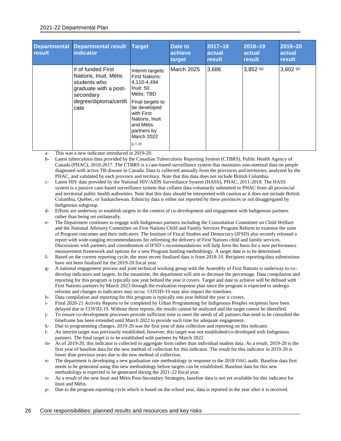#### 2021-22 Departmental Plan

| <b>Departmental</b><br>result | <b>Departmental result</b><br><b>indicator</b>                                                                                     | Target                                                                                                                                                                                                                | Date to<br>achieve<br>target | 2017-18<br>actual<br>result | 2018-19<br><b>actual</b><br>result | 2019-20<br>actual<br>result |
|-------------------------------|------------------------------------------------------------------------------------------------------------------------------------|-----------------------------------------------------------------------------------------------------------------------------------------------------------------------------------------------------------------------|------------------------------|-----------------------------|------------------------------------|-----------------------------|
|                               | # of funded First<br>Nations, Inuit, Métis<br>students who<br>graduate with a post-<br>secondary<br>degree/diploma/certifi<br>cate | Interim targets:<br><b>First Nations:</b><br>4,110-4,494<br>Inuit: 50<br>Métis: TBD<br>Final targets to<br>be developed<br>with First<br>Nations, Inuit<br>and Métis<br>partners by<br><b>March 2022</b><br>(j, l, o) | March 2025                   | 3,686                       | $3,852^{(p)}$                      | $3,602^{(p)}$               |

a- This was a new indicator introduced in 2019-20.

b- Latest tuberculosis data provided by the Canadian Tuberculosis Reporting System (CTBRS), Public Health Agency of Canada (PHAC), 2010-2017. The CTBRS is a case-based surveillance system that maintains non-nominal data on people diagnosed with active TB disease in Canada. Data is collected annually from the provinces and territories, analyzed by the PHAC, and validated by each province and territory. Note that this data does not include British Columbia.

- c- Latest HIV data provided by the National HIV/AIDS Surveillance System (HASS), PHAC, 2011-2018. The HASS system is a passive case-based surveillance system that collates data voluntarily submitted to PHAC from all provincial and territorial public health authorities. Note that this data should be interpreted with caution as it does not include British Columbia, Quebec, or Saskatchewan. Ethnicity data is either not reported by these provinces or not disaggregated by Indigenous subgroup.
- d- Efforts are underway to establish targets in the context of co-development and engagement with Indigenous partners rather than being set unilaterally.
- e- The Department continues to engage with Indigenous partners including the Consultation Committee on Child Welfare and the National Advisory Committee on First Nations Child and Family Services Program Reform to examine the suite of Program outcomes and their indicators. The Institute of Fiscal Studies and Democracy (IFSD) also recently released a report with wide-ranging recommendations for reforming the delivery of First Nations child and family services. Discussions with partners and consideration of IFSD's recommendations will help form the basis for a new performance measurement framework and options for a new Program funding methodology. A target date is to be determined.
- f- Based on the current reporting cycle, the most recent finalized data is from 2018-19. Recipient reporting/data submissions have not been finalized for the 2019-20 fiscal year.
- g- A national engagement process and joint technical working group with the Assembly of First Nations is underway to codevelop indicators and targets. In the meantime, the department will aim to decrease the percentage. Data compilation and reporting for this program is typically one year behind the year it covers. Target and date to achieve will be defined with First Nations partners by March 2023 through the evaluation response plan since the program is expected to undergo reforms and changes to indicators may occur. COVID-19 may also impact the timelines.
- h- Data compilation and reporting for this program is typically one year behind the year it covers.
- i- Final 2020-21 Activity Reports to be completed by Urban Programming for Indigenous Peoples recipients have been delayed due to COVID-19. Without these reports, the results cannot be analyzed and the target cannot be identified.
- j- To ensure co-development processes provide sufficient time to meet the needs of all partners that need to be consulted the timeframe has been extended until March 2022 to provide such time for adequate engagement.
- k- Due to programming changes, 2019-20 was the first year of data collection and reporting on this indicator.
- l- An interim target was previously established, however, this target was not established/co-developed with Indigenous partners. The final target is to be established with partners by March 2022.
- m- As of 2019-20, this indicator is collected in aggregate form rather than individual student data. As a result, 2019-20 is the first year of baseline data for the new method of collection for this indicator. The result for this indicator in 2019-20 is lower than previous years due to the new method of collection.
- n- The department is developing a new graduation rate methodology in response to the 2018 OAG audit. Baseline data first needs to be generated using this new methodology before targets can be established. Baseline data for this new methodology is expected to be generated during the 2021-22 fiscal year.
- o- As a result of the new Inuit and Métis Post-Secondary Strategies, baseline data is not yet available for this indicator for Inuit and Métis.
- p- Due to the program reporting cycle which is based on the school year, data is reported in the year after it is received.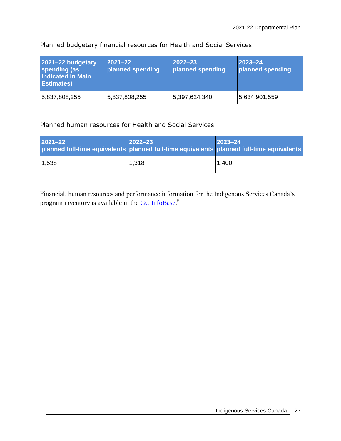| 2021-22 budgetary<br>spending (as<br>indicated in Main<br><b>Estimates)</b> | $ 2021 - 22 $<br>planned spending | $2022 - 23$<br>planned spending | $ 2023 - 24 $<br>planned spending |
|-----------------------------------------------------------------------------|-----------------------------------|---------------------------------|-----------------------------------|
| 5,837,808,255                                                               | 5,837,808,255                     | 5,397,624,340                   | 5,634,901,559                     |

Planned budgetary financial resources for Health and Social Services

#### Planned human resources for Health and Social Services

| 2021-22 | $ 2022 - 23 $ | $ 2023 - 24 $<br>planned full-time equivalents planned full-time equivalents planned full-time equivalents |
|---------|---------------|------------------------------------------------------------------------------------------------------------|
| 1,538   | 1,318         | 1,400                                                                                                      |

Financial, human resources and performance information for the Indigenous Services Canada's program inventory is available in the GC [InfoBase.](https://www.tbs-sct.gc.ca/ems-sgd/edb-bdd/index-eng.html)<sup>ii</sup>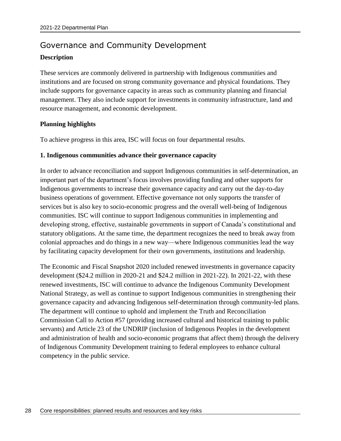# <span id="page-31-0"></span>Governance and Community Development

#### **Description**

These services are commonly delivered in partnership with Indigenous communities and institutions and are focused on strong community governance and physical foundations. They include supports for governance capacity in areas such as community planning and financial management. They also include support for investments in community infrastructure, land and resource management, and economic development.

#### **Planning highlights**

To achieve progress in this area, ISC will focus on four departmental results.

#### **1. Indigenous communities advance their governance capacity**

In order to advance reconciliation and support Indigenous communities in self-determination, an important part of the department's focus involves providing funding and other supports for Indigenous governments to increase their governance capacity and carry out the day-to-day business operations of government. Effective governance not only supports the transfer of services but is also key to socio-economic progress and the overall well-being of Indigenous communities. ISC will continue to support Indigenous communities in implementing and developing strong, effective, sustainable governments in support of Canada's constitutional and statutory obligations. At the same time, the department recognizes the need to break away from colonial approaches and do things in a new way—where Indigenous communities lead the way by facilitating capacity development for their own governments, institutions and leadership.

The Economic and Fiscal Snapshot 2020 included renewed investments in governance capacity development (\$24.2 million in 2020-21 and \$24.2 million in 2021-22). In 2021-22, with these renewed investments, ISC will continue to advance the Indigenous Community Development National Strategy, as well as continue to support Indigenous communities in strengthening their governance capacity and advancing Indigenous self-determination through community-led plans. The department will continue to uphold and implement the Truth and Reconciliation Commission Call to Action #57 (providing increased cultural and historical training to public servants) and Article 23 of the UNDRIP (inclusion of Indigenous Peoples in the development and administration of health and socio-economic programs that affect them) through the delivery of Indigenous Community Development training to federal employees to enhance cultural competency in the public service.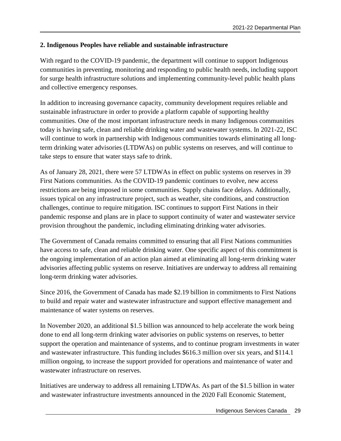#### **2. Indigenous Peoples have reliable and sustainable infrastructure**

With regard to the COVID-19 pandemic, the department will continue to support Indigenous communities in preventing, monitoring and responding to public health needs, including support for surge health infrastructure solutions and implementing community-level public health plans and collective emergency responses.

In addition to increasing governance capacity, community development requires reliable and sustainable infrastructure in order to provide a platform capable of supporting healthy communities. One of the most important infrastructure needs in many Indigenous communities today is having safe, clean and reliable drinking water and wastewater systems. In 2021-22, ISC will continue to work in partnership with Indigenous communities towards eliminating all longterm drinking water advisories (LTDWAs) on public systems on reserves, and will continue to take steps to ensure that water stays safe to drink.

As of January 28, 2021, there were 57 LTDWAs in effect on public systems on reserves in 39 First Nations communities. As the COVID-19 pandemic continues to evolve, new access restrictions are being imposed in some communities. Supply chains face delays. Additionally, issues typical on any infrastructure project, such as weather, site conditions, and construction challenges, continue to require mitigation. ISC continues to support First Nations in their pandemic response and plans are in place to support continuity of water and wastewater service provision throughout the pandemic, including eliminating drinking water advisories.

The Government of Canada remains committed to ensuring that all First Nations communities have access to safe, clean and reliable drinking water. One specific aspect of this commitment is the ongoing implementation of an action plan aimed at eliminating all long-term drinking water advisories affecting public systems on reserve. Initiatives are underway to address all remaining long-term drinking water advisories.

Since 2016, the Government of Canada has made \$2.19 billion in commitments to First Nations to build and repair water and wastewater infrastructure and support effective management and maintenance of water systems on reserves.

In November 2020, an additional \$1.5 billion was announced to help accelerate the work being done to end all long-term drinking water advisories on public systems on reserves, to better support the operation and maintenance of systems, and to continue program investments in water and wastewater infrastructure. This funding includes \$616.3 million over six years, and \$114.1 million ongoing, to increase the support provided for operations and maintenance of water and wastewater infrastructure on reserves.

Initiatives are underway to address all remaining LTDWAs. As part of the \$1.5 billion in water and wastewater infrastructure investments announced in the 2020 Fall Economic Statement,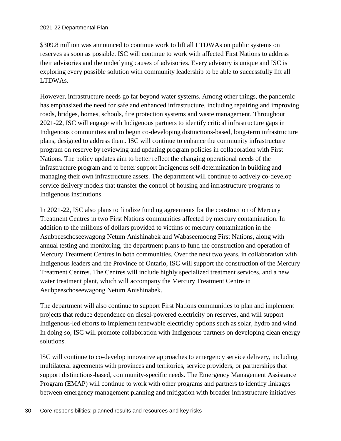\$309.8 million was announced to continue work to lift all LTDWAs on public systems on reserves as soon as possible. ISC will continue to work with affected First Nations to address their advisories and the underlying causes of advisories. Every advisory is unique and ISC is exploring every possible solution with community leadership to be able to successfully lift all LTDWAs.

However, infrastructure needs go far beyond water systems. Among other things, the pandemic has emphasized the need for safe and enhanced infrastructure, including repairing and improving roads, bridges, homes, schools, fire protection systems and waste management. Throughout 2021-22, ISC will engage with Indigenous partners to identify critical infrastructure gaps in Indigenous communities and to begin co-developing distinctions-based, long-term infrastructure plans, designed to address them. ISC will continue to enhance the community infrastructure program on reserve by reviewing and updating program policies in collaboration with First Nations. The policy updates aim to better reflect the changing operational needs of the infrastructure program and to better support Indigenous self-determination in building and managing their own infrastructure assets. The department will continue to actively co-develop service delivery models that transfer the control of housing and infrastructure programs to Indigenous institutions.

In 2021-22, ISC also plans to finalize funding agreements for the construction of Mercury Treatment Centres in two First Nations communities affected by mercury contamination. In addition to the millions of dollars provided to victims of mercury contamination in the Asubpeeschoseewagong Netum Anishinabek and Wabaseemoong First Nations, along with annual testing and monitoring, the department plans to fund the construction and operation of Mercury Treatment Centres in both communities. Over the next two years, in collaboration with Indigenous leaders and the Province of Ontario, ISC will support the construction of the Mercury Treatment Centres. The Centres will include highly specialized treatment services, and a new water treatment plant, which will accompany the Mercury Treatment Centre in Asubpeeschoseewagong Netum Anishinabek.

The department will also continue to support First Nations communities to plan and implement projects that reduce dependence on diesel-powered electricity on reserves, and will support Indigenous-led efforts to implement renewable electricity options such as solar, hydro and wind. In doing so, ISC will promote collaboration with Indigenous partners on developing clean energy solutions.

ISC will continue to co-develop innovative approaches to emergency service delivery, including multilateral agreements with provinces and territories, service providers, or partnerships that support distinctions-based, community-specific needs. The Emergency Management Assistance Program (EMAP) will continue to work with other programs and partners to identify linkages between emergency management planning and mitigation with broader infrastructure initiatives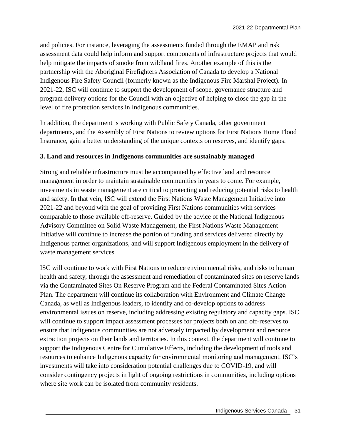and policies. For instance, leveraging the assessments funded through the EMAP and risk assessment data could help inform and support components of infrastructure projects that would help mitigate the impacts of smoke from wildland fires. Another example of this is the partnership with the Aboriginal Firefighters Association of Canada to develop a National Indigenous Fire Safety Council (formerly known as the Indigenous Fire Marshal Project). In 2021-22, ISC will continue to support the development of scope, governance structure and program delivery options for the Council with an objective of helping to close the gap in the level of fire protection services in Indigenous communities.

In addition, the department is working with Public Safety Canada, other government departments, and the Assembly of First Nations to review options for First Nations Home Flood Insurance, gain a better understanding of the unique contexts on reserves, and identify gaps.

#### **3. Land and resources in Indigenous communities are sustainably managed**

Strong and reliable infrastructure must be accompanied by effective land and resource management in order to maintain sustainable communities in years to come. For example, investments in waste management are critical to protecting and reducing potential risks to health and safety. In that vein, ISC will extend the First Nations Waste Management Initiative into 2021-22 and beyond with the goal of providing First Nations communities with services comparable to those available off-reserve. Guided by the advice of the National Indigenous Advisory Committee on Solid Waste Management, the First Nations Waste Management Initiative will continue to increase the portion of funding and services delivered directly by Indigenous partner organizations, and will support Indigenous employment in the delivery of waste management services.

ISC will continue to work with First Nations to reduce environmental risks, and risks to human health and safety, through the assessment and remediation of contaminated sites on reserve lands via the Contaminated Sites On Reserve Program and the Federal Contaminated Sites Action Plan. The department will continue its collaboration with Environment and Climate Change Canada, as well as Indigenous leaders, to identify and co-develop options to address environmental issues on reserve, including addressing existing regulatory and capacity gaps. ISC will continue to support impact assessment processes for projects both on and off-reserves to ensure that Indigenous communities are not adversely impacted by development and resource extraction projects on their lands and territories. In this context, the department will continue to support the Indigenous Centre for Cumulative Effects, including the development of tools and resources to enhance Indigenous capacity for environmental monitoring and management. ISC's investments will take into consideration potential challenges due to COVID-19, and will consider contingency projects in light of ongoing restrictions in communities, including options where site work can be isolated from community residents.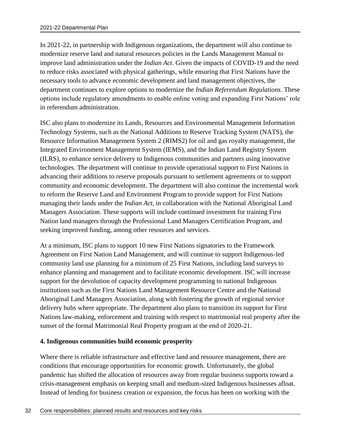In 2021-22, in partnership with Indigenous organizations, the department will also continue to modernize reserve land and natural resources policies in the Lands Management Manual to improve land administration under the *Indian Act*. Given the impacts of COVID-19 and the need to reduce risks associated with physical gatherings, while ensuring that First Nations have the necessary tools to advance economic development and land management objectives, the department continues to explore options to modernize the *Indian Referendum Regulations*. These options include regulatory amendments to enable online voting and expanding First Nations' role in referendum administration.

ISC also plans to modernize its Lands, Resources and Environmental Management Information Technology Systems, such as the National Additions to Reserve Tracking System (NATS), the Resource Information Management System 2 (RIMS2) for oil and gas royalty management, the Integrated Environment Management System (IEMS), and the Indian Land Registry System (ILRS), to enhance service delivery to Indigenous communities and partners using innovative technologies. The department will continue to provide operational support to First Nations in advancing their additions to reserve proposals pursuant to settlement agreements or to support community and economic development. The department will also continue the incremental work to reform the Reserve Land and Environment Program to provide support for First Nations managing their lands under the *Indian Act*, in collaboration with the National Aboriginal Land Managers Association. These supports will include continued investment for training First Nation land managers through the Professional Land Managers Certification Program, and seeking improved funding, among other resources and services.

At a minimum, ISC plans to support 10 new First Nations signatories to the Framework Agreement on First Nation Land Management, and will continue to support Indigenous-led community land use planning for a minimum of 25 First Nations, including land surveys to enhance planning and management and to facilitate economic development. ISC will increase support for the devolution of capacity development programming to national Indigenous institutions such as the First Nations Land Management Resource Centre and the National Aboriginal Land Managers Association, along with fostering the growth of regional service delivery hubs where appropriate. The department also plans to transition its support for First Nations law-making, enforcement and training with respect to matrimonial real property after the sunset of the formal Matrimonial Real Property program at the end of 2020-21.

#### **4. Indigenous communities build economic prosperity**

Where there is reliable infrastructure and effective land and resource management, there are conditions that encourage opportunities for economic growth. Unfortunately, the global pandemic has shifted the allocation of resources away from regular business supports toward a crisis-management emphasis on keeping small and medium-sized Indigenous businesses afloat. Instead of lending for business creation or expansion, the focus has been on working with the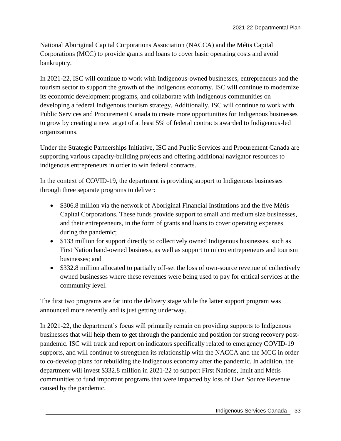National Aboriginal Capital Corporations Association (NACCA) and the Métis Capital Corporations (MCC) to provide grants and loans to cover basic operating costs and avoid bankruptcy.

In 2021-22, ISC will continue to work with Indigenous-owned businesses, entrepreneurs and the tourism sector to support the growth of the Indigenous economy. ISC will continue to modernize its economic development programs, and collaborate with Indigenous communities on developing a federal Indigenous tourism strategy. Additionally, ISC will continue to work with Public Services and Procurement Canada to create more opportunities for Indigenous businesses to grow by creating a new target of at least 5% of federal contracts awarded to Indigenous-led organizations.

Under the Strategic Partnerships Initiative, ISC and Public Services and Procurement Canada are supporting various capacity-building projects and offering additional navigator resources to indigenous entrepreneurs in order to win federal contracts.

In the context of COVID-19, the department is providing support to Indigenous businesses through three separate programs to deliver:

- \$306.8 million via the network of Aboriginal Financial Institutions and the five Métis Capital Corporations. These funds provide support to small and medium size businesses, and their entrepreneurs, in the form of grants and loans to cover operating expenses during the pandemic;
- \$133 million for support directly to collectively owned Indigenous businesses, such as First Nation band-owned business, as well as support to micro entrepreneurs and tourism businesses; and
- \$332.8 million allocated to partially off-set the loss of own-source revenue of collectively owned businesses where these revenues were being used to pay for critical services at the community level.

The first two programs are far into the delivery stage while the latter support program was announced more recently and is just getting underway.

In 2021-22, the department's focus will primarily remain on providing supports to Indigenous businesses that will help them to get through the pandemic and position for strong recovery postpandemic. ISC will track and report on indicators specifically related to emergency COVID-19 supports, and will continue to strengthen its relationship with the NACCA and the MCC in order to co-develop plans for rebuilding the Indigenous economy after the pandemic. In addition, the department will invest \$332.8 million in 2021-22 to support First Nations, Inuit and Métis communities to fund important programs that were impacted by loss of Own Source Revenue caused by the pandemic.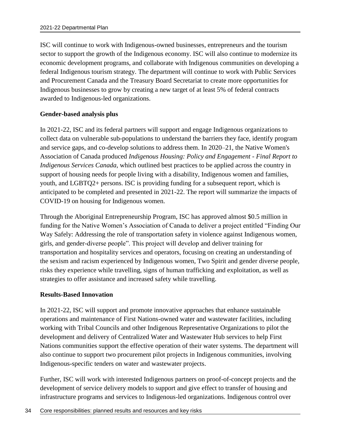ISC will continue to work with Indigenous-owned businesses, entrepreneurs and the tourism sector to support the growth of the Indigenous economy. ISC will also continue to modernize its economic development programs, and collaborate with Indigenous communities on developing a federal Indigenous tourism strategy. The department will continue to work with Public Services and Procurement Canada and the Treasury Board Secretariat to create more opportunities for Indigenous businesses to grow by creating a new target of at least 5% of federal contracts awarded to Indigenous-led organizations.

#### **Gender-based analysis plus**

In 2021-22, ISC and its federal partners will support and engage Indigenous organizations to collect data on vulnerable sub-populations to understand the barriers they face, identify program and service gaps, and co-develop solutions to address them. In 2020–21, the Native Women's Association of Canada produced *Indigenous Housing: Policy and Engagement - Final Report to Indigenous Services Canada*, which outlined best practices to be applied across the country in support of housing needs for people living with a disability, Indigenous women and families, youth, and LGBTQ2+ persons. ISC is providing funding for a subsequent report, which is anticipated to be completed and presented in 2021-22. The report will summarize the impacts of COVID-19 on housing for Indigenous women.

Through the Aboriginal Entrepreneurship Program, ISC has approved almost \$0.5 million in funding for the Native Women's Association of Canada to deliver a project entitled "Finding Our Way Safely: Addressing the role of transportation safety in violence against Indigenous women, girls, and gender-diverse people". This project will develop and deliver training for transportation and hospitality services and operators, focusing on creating an understanding of the sexism and racism experienced by Indigenous women, Two Spirit and gender diverse people, risks they experience while travelling, signs of human trafficking and exploitation, as well as strategies to offer assistance and increased safety while travelling.

#### **Results-Based Innovation**

In 2021-22, ISC will support and promote innovative approaches that enhance sustainable operations and maintenance of First Nations-owned water and wastewater facilities, including working with Tribal Councils and other Indigenous Representative Organizations to pilot the development and delivery of Centralized Water and Wastewater Hub services to help First Nations communities support the effective operation of their water systems. The department will also continue to support two procurement pilot projects in Indigenous communities, involving Indigenous-specific tenders on water and wastewater projects.

Further, ISC will work with interested Indigenous partners on proof-of-concept projects and the development of service delivery models to support and give effect to transfer of housing and infrastructure programs and services to Indigenous-led organizations. Indigenous control over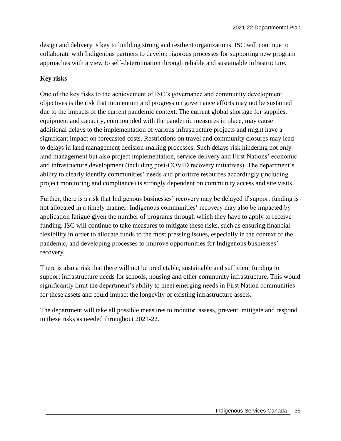design and delivery is key to building strong and resilient organizations. ISC will continue to collaborate with Indigenous partners to develop rigorous processes for supporting new program approaches with a view to self-determination through reliable and sustainable infrastructure.

### **Key risks**

One of the key risks to the achievement of ISC's governance and community development objectives is the risk that momentum and progress on governance efforts may not be sustained due to the impacts of the current pandemic context. The current global shortage for supplies, equipment and capacity, compounded with the pandemic measures in place, may cause additional delays to the implementation of various infrastructure projects and might have a significant impact on forecasted costs. Restrictions on travel and community closures may lead to delays in land management decision-making processes. Such delays risk hindering not only land management but also project implementation, service delivery and First Nations' economic and infrastructure development (including post-COVID recovery initiatives). The department's ability to clearly identify communities' needs and prioritize resources accordingly (including project monitoring and compliance) is strongly dependent on community access and site visits.

Further, there is a risk that Indigenous businesses' recovery may be delayed if support funding is not allocated in a timely manner. Indigenous communities' recovery may also be impacted by application fatigue given the number of programs through which they have to apply to receive funding. ISC will continue to take measures to mitigate these risks, such as ensuring financial flexibility in order to allocate funds to the most pressing issues, especially in the context of the pandemic, and developing processes to improve opportunities for Indigenous businesses' recovery.

There is also a risk that there will not be predictable, sustainable and sufficient funding to support infrastructure needs for schools, housing and other community infrastructure. This would significantly limit the department's ability to meet emerging needs in First Nation communities for these assets and could impact the longevity of existing infrastructure assets.

The department will take all possible measures to monitor, assess, prevent, mitigate and respond to these risks as needed throughout 2021-22.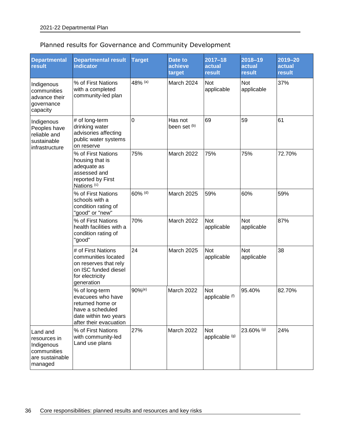## Planned results for Governance and Community Development

| <b>Departmental</b><br>result                                                       | <b>Departmental result</b><br>indicator                                                                                        | <b>Target</b> | Date to<br>achieve<br>target | $2017 - 18$<br>actual<br>result | 2018-19<br>actual<br>result | $2019 - 20$<br>actual<br>result |
|-------------------------------------------------------------------------------------|--------------------------------------------------------------------------------------------------------------------------------|---------------|------------------------------|---------------------------------|-----------------------------|---------------------------------|
| Indigenous<br>communities<br>advance their<br>governance<br>capacity                | % of First Nations<br>with a completed<br>community-led plan                                                                   | 48% (a)       | March 2024                   | Not<br>applicable               | <b>Not</b><br>applicable    | 37%                             |
| Indigenous<br>Peoples have<br>reliable and<br>sustainable<br>infrastructure         | # of long-term<br>drinking water<br>advisories affecting<br>public water systems<br>on reserve                                 | $\mathbf 0$   | Has not<br>been set (b)      | 69                              | 59                          | 61                              |
|                                                                                     | % of First Nations<br>housing that is<br>adequate as<br>assessed and<br>reported by First<br>Nations <sup>(c)</sup>            | 75%           | March 2022                   | 75%                             | 75%                         | 72.70%                          |
|                                                                                     | % of First Nations<br>schools with a<br>condition rating of<br>"good" or "new"                                                 | 60% (d)       | March 2025                   | 59%                             | 60%                         | 59%                             |
|                                                                                     | % of First Nations<br>health facilities with a<br>condition rating of<br>"good"                                                | 70%           | March 2022                   | Not<br>applicable               | Not<br>applicable           | 87%                             |
|                                                                                     | # of First Nations<br>communities located<br>on reserves that rely<br>on ISC funded diesel<br>for electricity<br>generation    | 24            | <b>March 2025</b>            | Not<br>applicable               | <b>Not</b><br>applicable    | 38                              |
|                                                                                     | % of long-term<br>evacuees who have<br>returned home or<br>have a scheduled<br>date within two years<br>after their evacuation | 90%(e)        | March 2022                   | Not<br>applicable (f)           | 95.40%                      | 82.70%                          |
| Land and<br>resources in<br>Indigenous<br>communities<br>are sustainable<br>managed | % of First Nations<br>with community-led<br>Land use plans                                                                     | 27%           | March 2022                   | <b>Not</b><br>applicable (g)    | 23.60% (g)                  | 24%                             |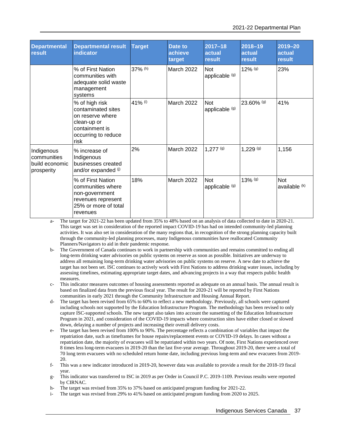| <b>Departmental</b><br>result                             | <b>Departmental result</b><br>indicator                                                                                  | <b>Target</b> | Date to<br>achieve<br>target | $2017 - 18$<br>actual<br>result | 2018-19<br>actual<br><b>result</b> | 2019-20<br>actual<br>result |
|-----------------------------------------------------------|--------------------------------------------------------------------------------------------------------------------------|---------------|------------------------------|---------------------------------|------------------------------------|-----------------------------|
|                                                           | % of First Nation<br>communities with<br>adequate solid waste<br>management<br>systems                                   | 37% (h)       | March 2022                   | Not<br>applicable (g)           | 12% (g)                            | 23%                         |
|                                                           | % of high risk<br>contaminated sites<br>on reserve where<br>clean-up or<br>containment is<br>occurring to reduce<br>risk | 41% (i)       | March 2022                   | Not<br>applicable (g)           | 23.60% (g)                         | 41%                         |
| Indigenous<br>communities<br>build economic<br>prosperity | % increase of<br>Indigenous<br>businesses created<br>and/or expanded (i)                                                 | 2%            | March 2022                   | $1,277$ (g)                     | $1,229$ (g)                        | 1,156                       |
|                                                           | % of First Nation<br>communities where<br>non-government<br>revenues represent<br>25% or more of total<br>revenues       | 18%           | March 2022                   | Not<br>applicable (g)           | $13\%$ (g)                         | Not<br>available (k)        |

a- The target for 2021-22 has been updated from 35% to 48% based on an analysis of data collected to date in 2020-21. This target was set in consideration of the reported impact COVID-19 has had on intended community-led planning activities. It was also set in consideration of the many regions that, in recognition of the strong planning capacity built through the community-led planning processes, many Indigenous communities have reallocated Community Planners/Navigators to aid in their pandemic response.

- b- The Government of Canada continues to work in partnership with communities and remains committed to ending all long-term drinking water advisories on public systems on reserve as soon as possible. Initiatives are underway to address all remaining long-term drinking water advisories on public systems on reserve. A new date to achieve the target has not been set. ISC continues to actively work with First Nations to address drinking water issues, including by assessing timelines, estimating appropriate target dates, and advancing projects in a way that respects public health measures.
- c- This indicator measures outcomes of housing assessments reported as adequate on an annual basis. The annual result is based on finalized data from the previous fiscal year. The result for 2020-21 will be reported by First Nations communities in early 2021 through the Community Infrastructure and Housing Annual Report.
- d- The target has been revised from 65% to 60% to reflect a new methodology. Previously, all schools were captured including schools not supported by the Education Infrastructure Program. The methodology has been revised to only capture ISC-supported schools. The new target also takes into account the sunsetting of the Education Infrastructure Program in 2021, and consideration of the COVID-19 impacts where construction sites have either closed or slowed down, delaying a number of projects and increasing their overall delivery costs.
- e- The target has been revised from 100% to 90%. The percentage reflects a combination of variables that impact the repatriation date, such as timeframes for house repairs/replacement events or COVID-19 delays. In cases without a repatriation date, the majority of evacuees will be repatriated within two years. Of note, First Nations experienced over 8 times less long-term evacuees in 2019-20 than the last five-year average. Throughout 2019-20, there were a total of 70 long term evacuees with no scheduled return home date, including previous long-term and new evacuees from 2019- 20.
- f- This was a new indicator introduced in 2019-20, however data was available to provide a result for the 2018-19 fiscal year.
- g- This indicator was transferred to ISC in 2019 as per Order in Council P.C. 2019-1109. Previous results were reported by CIRNAC.
- h- The target was revised from 35% to 37% based on anticipated program funding for 2021-22.
- i- The target was revised from 29% to 41% based on anticipated program funding from 2020 to 2025.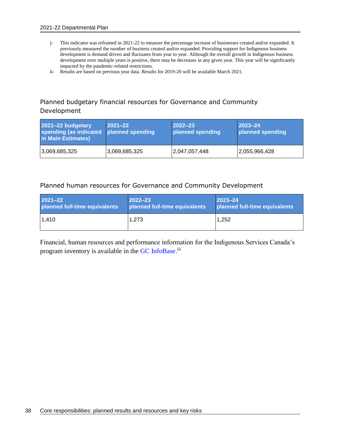- j- This indicator was reframed in 2021-22 to measure the percentage increase of businesses created and/or expanded. It previously measured the number of business created and/or expanded. Providing support for Indigenous business development is demand driven and fluctuates from year to year. Although the overall growth in Indigenous business development over multiple years is positive, there may be decreases in any given year. This year will be significantly impacted by the pandemic-related restrictions.
- k- Results are based on previous year data. Results for 2019-20 will be available March 2021.

## Planned budgetary financial resources for Governance and Community Development

| 2021-22 budgetary<br>spending (as indicated<br>in Main Estimates) | $ 2021 - 22 $<br>planned spending | $ 2022 - 23 $<br>planned spending | $ 2023 - 24 $<br>planned spending |
|-------------------------------------------------------------------|-----------------------------------|-----------------------------------|-----------------------------------|
| 3,069,685,325                                                     | 3,069,685,325                     | 2,047,057,448                     | 2,055,966,428                     |

#### Planned human resources for Governance and Community Development

| $2021 - 22$                   | $2022 - 23$                   | $ 2023 - 24 $                 |
|-------------------------------|-------------------------------|-------------------------------|
| planned full-time equivalents | planned full-time equivalents | planned full-time equivalents |
| 1,410                         | 1.273                         | 1.252                         |

Financial, human resources and performance information for the Indigenous Services Canada's program inventory is available in the GC [InfoBase.](https://www.tbs-sct.gc.ca/ems-sgd/edb-bdd/index-eng.html)<sup>iii</sup>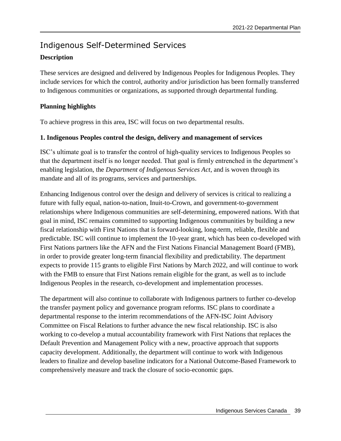# Indigenous Self-Determined Services **Description**

These services are designed and delivered by Indigenous Peoples for Indigenous Peoples. They include services for which the control, authority and/or jurisdiction has been formally transferred to Indigenous communities or organizations, as supported through departmental funding.

### **Planning highlights**

To achieve progress in this area, ISC will focus on two departmental results.

### **1. Indigenous Peoples control the design, delivery and management of services**

ISC's ultimate goal is to transfer the control of high-quality services to Indigenous Peoples so that the department itself is no longer needed. That goal is firmly entrenched in the department's enabling legislation, the *Department of Indigenous Services Act*, and is woven through its mandate and all of its programs, services and partnerships.

Enhancing Indigenous control over the design and delivery of services is critical to realizing a future with fully equal, nation-to-nation, Inuit-to-Crown, and government-to-government relationships where Indigenous communities are self-determining, empowered nations. With that goal in mind, ISC remains committed to supporting Indigenous communities by building a new fiscal relationship with First Nations that is forward-looking, long-term, reliable, flexible and predictable. ISC will continue to implement the 10-year grant, which has been co-developed with First Nations partners like the AFN and the First Nations Financial Management Board (FMB), in order to provide greater long-term financial flexibility and predictability. The department expects to provide 115 grants to eligible First Nations by March 2022, and will continue to work with the FMB to ensure that First Nations remain eligible for the grant, as well as to include Indigenous Peoples in the research, co-development and implementation processes.

The department will also continue to collaborate with Indigenous partners to further co-develop the transfer payment policy and governance program reforms. ISC plans to coordinate a departmental response to the interim recommendations of the AFN-ISC Joint Advisory Committee on Fiscal Relations to further advance the new fiscal relationship. ISC is also working to co-develop a mutual accountability framework with First Nations that replaces the Default Prevention and Management Policy with a new, proactive approach that supports capacity development. Additionally, the department will continue to work with Indigenous leaders to finalize and develop baseline indicators for a National Outcome-Based Framework to comprehensively measure and track the closure of socio-economic gaps.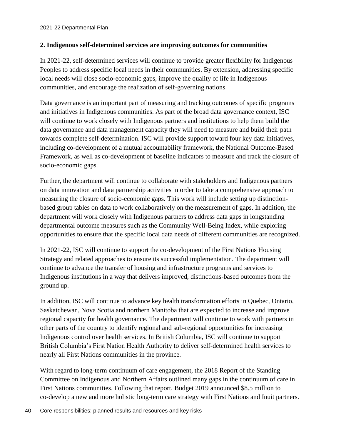### **2. Indigenous self-determined services are improving outcomes for communities**

In 2021-22, self-determined services will continue to provide greater flexibility for Indigenous Peoples to address specific local needs in their communities. By extension, addressing specific local needs will close socio-economic gaps, improve the quality of life in Indigenous communities, and encourage the realization of self-governing nations.

Data governance is an important part of measuring and tracking outcomes of specific programs and initiatives in Indigenous communities. As part of the broad data governance context, ISC will continue to work closely with Indigenous partners and institutions to help them build the data governance and data management capacity they will need to measure and build their path towards complete self-determination. ISC will provide support toward four key data initiatives, including co-development of a mutual accountability framework, the National Outcome-Based Framework, as well as co-development of baseline indicators to measure and track the closure of socio-economic gaps.

Further, the department will continue to collaborate with stakeholders and Indigenous partners on data innovation and data partnership activities in order to take a comprehensive approach to measuring the closure of socio-economic gaps. This work will include setting up distinctionbased group tables on data to work collaboratively on the measurement of gaps. In addition, the department will work closely with Indigenous partners to address data gaps in longstanding departmental outcome measures such as the Community Well-Being Index, while exploring opportunities to ensure that the specific local data needs of different communities are recognized.

In 2021-22, ISC will continue to support the co-development of the First Nations Housing Strategy and related approaches to ensure its successful implementation. The department will continue to advance the transfer of housing and infrastructure programs and services to Indigenous institutions in a way that delivers improved, distinctions-based outcomes from the ground up.

In addition, ISC will continue to advance key health transformation efforts in Quebec, Ontario, Saskatchewan, Nova Scotia and northern Manitoba that are expected to increase and improve regional capacity for health governance. The department will continue to work with partners in other parts of the country to identify regional and sub-regional opportunities for increasing Indigenous control over health services. In British Columbia, ISC will continue to support British Columbia's First Nation Health Authority to deliver self-determined health services to nearly all First Nations communities in the province.

With regard to long-term continuum of care engagement, the 2018 Report of the Standing Committee on Indigenous and Northern Affairs outlined many gaps in the continuum of care in First Nations communities. Following that report, Budget 2019 announced \$8.5 million to co-develop a new and more holistic long-term care strategy with First Nations and Inuit partners.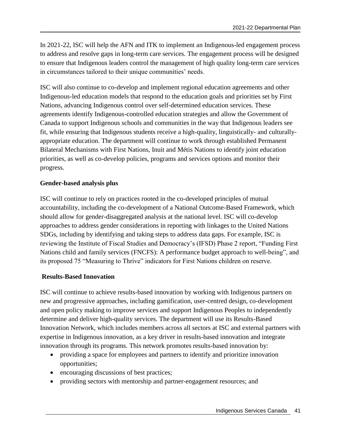In 2021-22, ISC will help the AFN and ITK to implement an Indigenous-led engagement process to address and resolve gaps in long-term care services. The engagement process will be designed to ensure that Indigenous leaders control the management of high quality long-term care services in circumstances tailored to their unique communities' needs.

ISC will also continue to co-develop and implement regional education agreements and other Indigenous-led education models that respond to the education goals and priorities set by First Nations, advancing Indigenous control over self-determined education services. These agreements identify Indigenous-controlled education strategies and allow the Government of Canada to support Indigenous schools and communities in the way that Indigenous leaders see fit, while ensuring that Indigenous students receive a high-quality, linguistically- and culturallyappropriate education. The department will continue to work through established Permanent Bilateral Mechanisms with First Nations, Inuit and Métis Nations to identify joint education priorities, as well as co-develop policies, programs and services options and monitor their progress.

#### **Gender-based analysis plus**

ISC will continue to rely on practices rooted in the co-developed principles of mutual accountability, including the co-development of a National Outcome-Based Framework, which should allow for gender-disaggregated analysis at the national level. ISC will co-develop approaches to address gender considerations in reporting with linkages to the United Nations SDGs, including by identifying and taking steps to address data gaps. For example, ISC is reviewing the Institute of Fiscal Studies and Democracy's (IFSD) Phase 2 report, "Funding First Nations child and family services (FNCFS): A performance budget approach to well-being", and its proposed 75 "Measuring to Thrive" indicators for First Nations children on reserve.

#### **Results-Based Innovation**

ISC will continue to achieve results-based innovation by working with Indigenous partners on new and progressive approaches, including gamification, user-centred design, co-development and open policy making to improve services and support Indigenous Peoples to independently determine and deliver high-quality services. The department will use its Results-Based Innovation Network, which includes members across all sectors at ISC and external partners with expertise in Indigenous innovation, as a key driver in results-based innovation and integrate innovation through its programs. This network promotes results-based innovation by:

- providing a space for employees and partners to identify and prioritize innovation opportunities;
- encouraging discussions of best practices;
- providing sectors with mentorship and partner-engagement resources; and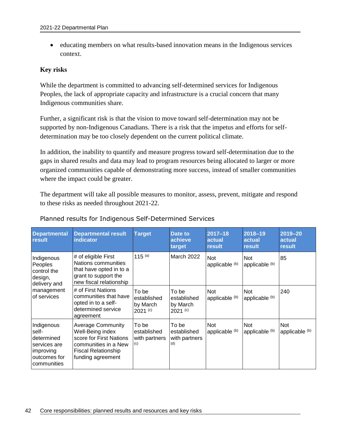educating members on what results-based innovation means in the Indigenous services context.

### **Key risks**

While the department is committed to advancing self-determined services for Indigenous Peoples, the lack of appropriate capacity and infrastructure is a crucial concern that many Indigenous communities share.

Further, a significant risk is that the vision to move toward self-determination may not be supported by non-Indigenous Canadians. There is a risk that the impetus and efforts for selfdetermination may be too closely dependent on the current political climate.

In addition, the inability to quantify and measure progress toward self-determination due to the gaps in shared results and data may lead to program resources being allocated to larger or more organized communities capable of demonstrating more success, instead of smaller communities where the impact could be greater.

The department will take all possible measures to monitor, assess, prevent, mitigate and respond to these risks as needed throughout 2021-22.

| <b>Departmental</b><br>result                                                                 | <b>Departmental result</b><br><b>indicator</b>                                                                                                     | <b>Target</b>                                  | <b>Date to</b><br>achieve<br>target          | $2017 - 18$<br>actual<br>result | 2018-19<br>actual<br>result  | 2019-20<br>actual<br>result  |
|-----------------------------------------------------------------------------------------------|----------------------------------------------------------------------------------------------------------------------------------------------------|------------------------------------------------|----------------------------------------------|---------------------------------|------------------------------|------------------------------|
| Indigenous<br>Peoples<br>control the<br>design,<br>delivery and                               | # of eligible First<br>Nations communities<br>that have opted in to a<br>grant to support the<br>new fiscal relationship                           | 115 $(a)$                                      | March 2022                                   | <b>Not</b><br>applicable (b)    | <b>Not</b><br>applicable (b) | 85                           |
| management<br>of services                                                                     | # of First Nations<br>communities that have<br>opted in to a self-<br>determined service<br>agreement                                              | To be<br>established<br>by March<br>$2021$ (c) | To be<br>established<br>by March<br>2021 (c) | <b>Not</b><br>applicable (b)    | <b>Not</b><br>applicable (b) | 240                          |
| Indigenous<br>self-<br>determined<br>services are<br>improving<br>outcomes for<br>communities | <b>Average Community</b><br>Well-Being index<br>score for First Nations<br>communities in a New<br><b>Fiscal Relationship</b><br>funding agreement | To be<br>established<br>with partners<br>(c)   | To be<br>established<br>with partners<br>(d) | <b>Not</b><br>applicable (b)    | <b>Not</b><br>applicable (b) | <b>Not</b><br>applicable (b) |

### Planned results for Indigenous Self-Determined Services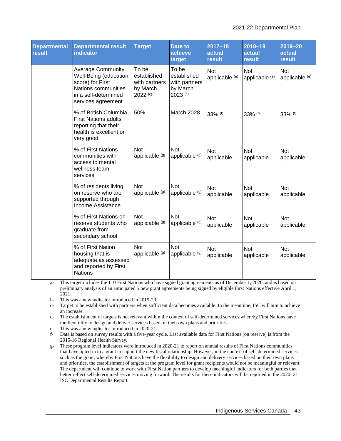| <b>Departmental</b><br>result | <b>Departmental result</b><br>indicator                                                                                                    | <b>Target</b>                                                 | Date to<br>achieve<br>target                                    | $2017 - 18$<br>actual<br>result | 2018-19<br>actual<br>result  | 2019-20<br>actual<br>result |
|-------------------------------|--------------------------------------------------------------------------------------------------------------------------------------------|---------------------------------------------------------------|-----------------------------------------------------------------|---------------------------------|------------------------------|-----------------------------|
|                               | <b>Average Community</b><br>Well-Being (education<br>score) for First<br>Nations communities<br>in a self-determined<br>services agreement | To be<br>established<br>with partners<br>by March<br>2022 (c) | To be<br>established<br>with partners<br>by March<br>$2023$ (c) | Not<br>applicable (e)           | <b>Not</b><br>applicable (e) | Not<br>applicable (e)       |
|                               | % of British Columbia<br><b>First Nations adults</b><br>reporting that their<br>health is excellent or<br>very good                        | 50%                                                           | March 2028                                                      | 33% (f)                         | 33% (f)                      | 33% (f)                     |
|                               | % of First Nations<br>communities with<br>access to mental<br>wellness team<br>services                                                    | <b>Not</b><br>applicable (g)                                  | <b>Not</b><br>applicable (g)                                    | <b>Not</b><br>applicable        | <b>Not</b><br>applicable     | <b>Not</b><br>applicable    |
|                               | % of residents living<br>on reserve who are<br>supported through<br>Income Assistance                                                      | <b>Not</b><br>applicable (g)                                  | <b>Not</b><br>applicable (g)                                    | Not<br>applicable               | <b>Not</b><br>applicable     | Not<br>applicable           |
|                               | % of First Nations on<br>reserve students who<br>graduate from<br>secondary school                                                         | <b>Not</b><br>applicable (g)                                  | <b>Not</b><br>applicable (g)                                    | <b>Not</b><br>applicable        | <b>Not</b><br>applicable     | <b>Not</b><br>applicable    |
|                               | % of First Nation<br>housing that is<br>adequate as assessed<br>and reported by First<br><b>Nations</b>                                    | <b>Not</b><br>applicable (g)                                  | <b>Not</b><br>applicable (g)                                    | <b>Not</b><br>applicable        | <b>Not</b><br>applicable     | <b>Not</b><br>applicable    |

a- This target includes the 110 First Nations who have signed grant agreements as of December 1, 2020, and is based on preliminary analysis of an anticipated 5 new grant agreements being signed by eligible First Nations effective April 1, 2021.

b- This was a new indicator introduced in 2019-20.

c- Target to be established with partners when sufficient data becomes available. In the meantime, ISC will aim to achieve an increase.

d- The establishment of targets is not relevant within the context of self-determined services whereby First Nations have the flexibility to design and deliver services based on their own plans and priorities.

e- This was a new indicator introduced in 2020-21.

f- Data is based on survey results with a five-year cycle. Last available data for First Nations (on reserve) is from the 2015-16 Regional Health Survey.

g- These program level indicators were introduced in 2020-21 to report on annual results of First Nations communities that have opted in to a grant to support the new fiscal relationship. However, in the context of self-determined services such as the grant, whereby First Nations have the flexibility to design and delivery services based on their own plans and priorities, the establishment of targets at the program level for grant recipients would not be meaningful or relevant. The department will continue to work with First Nation partners to develop meaningful indicators for both parties that better reflect self-determined services moving forward. The results for these indicators will be reported in the 2020–21 ISC Departmental Results Report.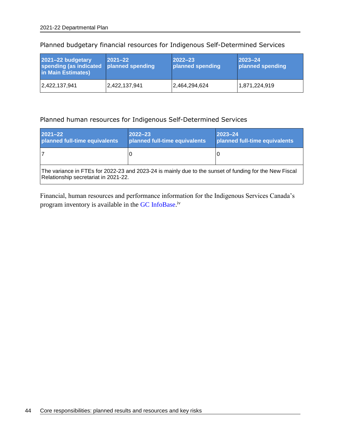| 2021-22 budgetary<br>spending (as indicated planned spending<br>in Main Estimates) | $ 2021 - 22 $ | $2022 - 23$<br>planned spending | $2023 - 24$<br>planned spending |
|------------------------------------------------------------------------------------|---------------|---------------------------------|---------------------------------|
| 2,422,137,941                                                                      | 2,422,137,941 | 2,464,294,624                   | 1,871,224,919                   |

### Planned budgetary financial resources for Indigenous Self-Determined Services

### Planned human resources for Indigenous Self-Determined Services

| $2021 - 22$<br>planned full-time equivalents                                                                                                   | $2022 - 23$<br>planned full-time equivalents | $ 2023 - 24 $<br>planned full-time equivalents |  |  |  |
|------------------------------------------------------------------------------------------------------------------------------------------------|----------------------------------------------|------------------------------------------------|--|--|--|
|                                                                                                                                                |                                              |                                                |  |  |  |
| The variance in FTEs for 2022-23 and 2023-24 is mainly due to the sunset of funding for the New Fiscal<br>Relationship secretariat in 2021-22. |                                              |                                                |  |  |  |

Financial, human resources and performance information for the Indigenous Services Canada's program inventory is available in the GC [InfoBase.](https://www.tbs-sct.gc.ca/ems-sgd/edb-bdd/index-eng.html)<sup>iv</sup>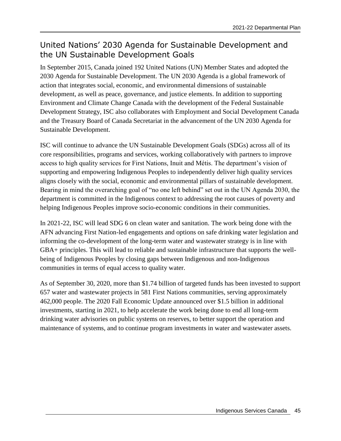# United Nations' 2030 Agenda for Sustainable Development and the UN Sustainable Development Goals

In September 2015, Canada joined 192 United Nations (UN) Member States and adopted the 2030 Agenda for Sustainable Development. The UN 2030 Agenda is a global framework of action that integrates social, economic, and environmental dimensions of sustainable development, as well as peace, governance, and justice elements. In addition to supporting Environment and Climate Change Canada with the development of the Federal Sustainable Development Strategy, ISC also collaborates with Employment and Social Development Canada and the Treasury Board of Canada Secretariat in the advancement of the UN 2030 Agenda for Sustainable Development.

ISC will continue to advance the UN Sustainable Development Goals (SDGs) across all of its core responsibilities, programs and services, working collaboratively with partners to improve access to high quality services for First Nations, Inuit and Métis. The department's vision of supporting and empowering Indigenous Peoples to independently deliver high quality services aligns closely with the social, economic and environmental pillars of sustainable development. Bearing in mind the overarching goal of "no one left behind" set out in the UN Agenda 2030, the department is committed in the Indigenous context to addressing the root causes of poverty and helping Indigenous Peoples improve socio-economic conditions in their communities.

In 2021-22, ISC will lead SDG 6 on clean water and sanitation. The work being done with the AFN advancing First Nation-led engagements and options on safe drinking water legislation and informing the co-development of the long-term water and wastewater strategy is in line with GBA+ principles. This will lead to reliable and sustainable infrastructure that supports the wellbeing of Indigenous Peoples by closing gaps between Indigenous and non-Indigenous communities in terms of equal access to quality water.

As of September 30, 2020, more than \$1.74 billion of targeted funds has been invested to support 657 water and wastewater projects in 581 First Nations communities, serving approximately 462,000 people. The 2020 Fall Economic Update announced over \$1.5 billion in additional investments, starting in 2021, to help accelerate the work being done to end all long-term drinking water advisories on public systems on reserves, to better support the operation and maintenance of systems, and to continue program investments in water and wastewater assets.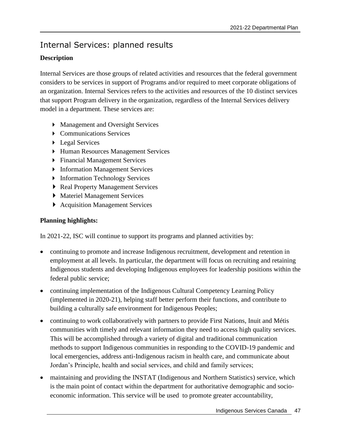# Internal Services: planned results

## **Description**

Internal Services are those groups of related activities and resources that the federal government considers to be services in support of Programs and/or required to meet corporate obligations of an organization. Internal Services refers to the activities and resources of the 10 distinct services that support Program delivery in the organization, regardless of the Internal Services delivery model in a department. These services are:

- Management and Oversight Services
- ▶ Communications Services
- ▶ Legal Services
- Human Resources Management Services
- Financial Management Services
- **Information Management Services**
- **Information Technology Services**
- ▶ Real Property Management Services
- Materiel Management Services
- Acquisition Management Services

## **Planning highlights:**

In 2021-22, ISC will continue to support its programs and planned activities by:

- continuing to promote and increase Indigenous recruitment, development and retention in employment at all levels. In particular, the department will focus on recruiting and retaining Indigenous students and developing Indigenous employees for leadership positions within the federal public service;
- continuing implementation of the Indigenous Cultural Competency Learning Policy (implemented in 2020-21), helping staff better perform their functions, and contribute to building a culturally safe environment for Indigenous Peoples;
- continuing to work collaboratively with partners to provide First Nations, Inuit and Métis communities with timely and relevant information they need to access high quality services. This will be accomplished through a variety of digital and traditional communication methods to support Indigenous communities in responding to the COVID-19 pandemic and local emergencies, address anti-Indigenous racism in health care, and communicate about Jordan's Principle, health and social services, and child and family services;
- maintaining and providing the INSTAT (Indigenous and Northern Statistics) service, which is the main point of contact within the department for authoritative demographic and socioeconomic information. This service will be used to promote greater accountability,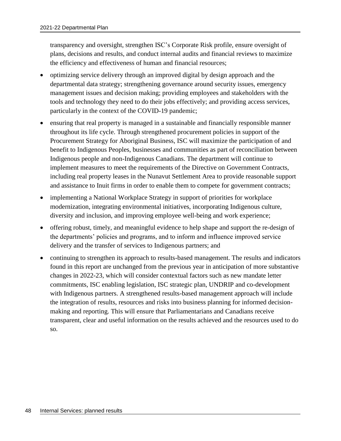transparency and oversight, strengthen ISC's Corporate Risk profile, ensure oversight of plans, decisions and results, and conduct internal audits and financial reviews to maximize the efficiency and effectiveness of human and financial resources;

- optimizing service delivery through an improved digital by design approach and the departmental data strategy; strengthening governance around security issues, emergency management issues and decision making; providing employees and stakeholders with the tools and technology they need to do their jobs effectively; and providing access services, particularly in the context of the COVID-19 pandemic;
- ensuring that real property is managed in a sustainable and financially responsible manner throughout its life cycle. Through strengthened procurement policies in support of the Procurement Strategy for Aboriginal Business, ISC will maximize the participation of and benefit to Indigenous Peoples, businesses and communities as part of reconciliation between Indigenous people and non-Indigenous Canadians. The department will continue to implement measures to meet the requirements of the Directive on Government Contracts, including real property leases in the Nunavut Settlement Area to provide reasonable support and assistance to Inuit firms in order to enable them to compete for government contracts;
- implementing a National Workplace Strategy in support of priorities for workplace modernization, integrating environmental initiatives, incorporating Indigenous culture, diversity and inclusion, and improving employee well-being and work experience;
- offering robust, timely, and meaningful evidence to help shape and support the re-design of the departments' policies and programs, and to inform and influence improved service delivery and the transfer of services to Indigenous partners; and
- continuing to strengthen its approach to results-based management. The results and indicators found in this report are unchanged from the previous year in anticipation of more substantive changes in 2022-23, which will consider contextual factors such as new mandate letter commitments, ISC enabling legislation, ISC strategic plan, UNDRIP and co-development with Indigenous partners. A strengthened results-based management approach will include the integration of results, resources and risks into business planning for informed decisionmaking and reporting. This will ensure that Parliamentarians and Canadians receive transparent, clear and useful information on the results achieved and the resources used to do so.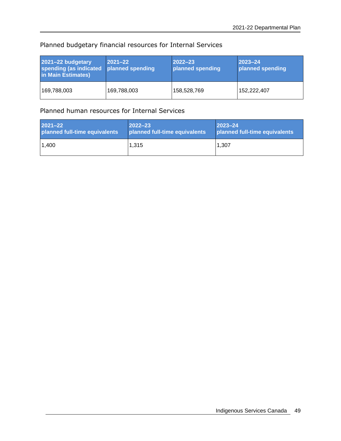## Planned budgetary financial resources for Internal Services

| 2021-22 budgetary<br>spending (as indicated<br>in Main Estimates) | $ 2021 - 22 $<br>planned spending | $ 2022 - 23 $<br>planned spending | $ 2023 - 24 $<br>planned spending |
|-------------------------------------------------------------------|-----------------------------------|-----------------------------------|-----------------------------------|
| 169,788,003                                                       | 169,788,003                       | 158,528,769                       | 152,222,407                       |

## Planned human resources for Internal Services

| <b>2021-22</b>                | $ 2022 - 23 $                 | $ 2023 - 24 $                 |
|-------------------------------|-------------------------------|-------------------------------|
| planned full-time equivalents | planned full-time equivalents | planned full-time equivalents |
| 1.400                         | 1,315                         | 1.307                         |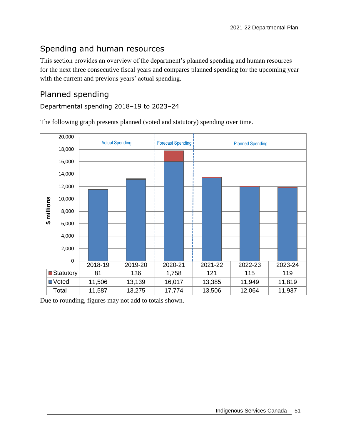# Spending and human resources

This section provides an overview of the department's planned spending and human resources for the next three consecutive fiscal years and compares planned spending for the upcoming year with the current and previous years' actual spending.

## Planned spending

### Departmental spending 2018–19 to 2023–24

The following graph presents planned (voted and statutory) spending over time.



Due to rounding, figures may not add to totals shown.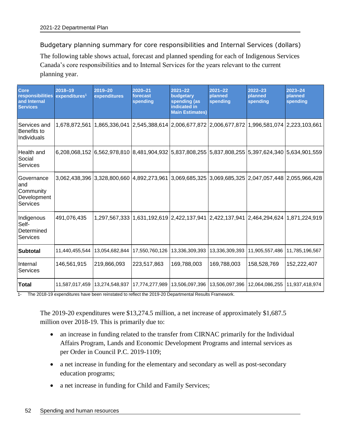Budgetary planning summary for core responsibilities and Internal Services (dollars)

The following table shows actual, forecast and planned spending for each of Indigenous Services Canada's core responsibilities and to Internal Services for the years relevant to the current planning year.

| <b>Core</b><br>responsibilities<br>and Internal<br><b>Services</b> | 2018-19<br>expenditures <sup>1</sup> | $2019 - 20$<br>expenditures     | $2020 - 21$<br>forecast<br>spending                                                 | $2021 - 22$<br>budgetary<br>spending (as<br>indicated in<br><b>Main Estimates)</b> | $2021 - 22$<br>planned<br>spending | $2022 - 23$<br>planned<br>spending | $2023 - 24$<br>planned<br>spending                                                                |
|--------------------------------------------------------------------|--------------------------------------|---------------------------------|-------------------------------------------------------------------------------------|------------------------------------------------------------------------------------|------------------------------------|------------------------------------|---------------------------------------------------------------------------------------------------|
| Services and<br>Benefits to<br>Individuals                         | 1,678,872,561                        |                                 | 1,865,336,041 2,545,388,614 2,006,677,872 2,006,677,872 1,996,581,074 2,223,103,661 |                                                                                    |                                    |                                    |                                                                                                   |
| Health and<br>Social<br><b>Services</b>                            |                                      |                                 |                                                                                     |                                                                                    |                                    |                                    | 6,208,068,152 6,562,978,810 8,481,904,932 5,837,808,255 5,837,808,255 5,397,624,340 5,634,901,559 |
| Governance<br>and<br>Community<br>Development<br><b>Services</b>   |                                      |                                 |                                                                                     |                                                                                    |                                    |                                    | 3,062,438,396 3,328,800,660 4,892,273,961 3,069,685,325 3,069,685,325 2,047,057,448 2,055,966,428 |
| Indigenous<br>Self-<br>Determined<br>Services                      | 491,076,435                          |                                 |                                                                                     |                                                                                    |                                    |                                    | 1,297,567,333   1,631,192,619   2,422,137,941   2,422,137,941   2,464,294,624   1,871,224,919     |
| <b>Subtotal</b>                                                    | 11,440,455,544                       | 13,054,682,844                  | 17,550,760,126                                                                      | 13,336,309,393                                                                     | 13,336,309,393                     | 11,905,557,486                     | 11,785,196,567                                                                                    |
| Internal<br>Services                                               | 146,561,915                          | 219,866,093                     | 223,517,863                                                                         | 169,788,003                                                                        | 169,788,003                        | 158,528,769                        | 152,222,407                                                                                       |
| <b>Total</b>                                                       | 11,587,017,459                       | 13,274,548,937   17,774,277,989 |                                                                                     | 13,506,097,396                                                                     | 13,506,097,396                     |                                    | 12,064,086,255   11,937,418,974                                                                   |

1- The 2018-19 expenditures have been reinstated to reflect the 2019-20 Departmental Results Framework.

The 2019-20 expenditures were \$13,274.5 million, a net increase of approximately \$1,687.5 million over 2018-19. This is primarily due to:

- an increase in funding related to the transfer from CIRNAC primarily for the Individual Affairs Program, Lands and Economic Development Programs and internal services as per Order in Council P.C. 2019-1109;
- a net increase in funding for the elementary and secondary as well as post-secondary education programs;
- a net increase in funding for Child and Family Services;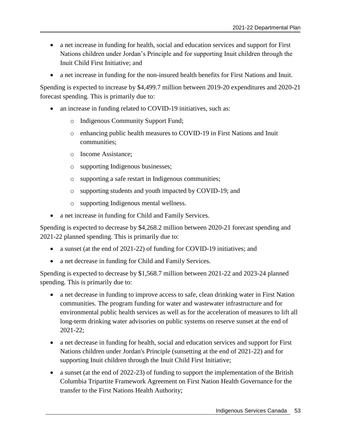- a net increase in funding for health, social and education services and support for First Nations children under Jordan's Principle and for supporting Inuit children through the Inuit Child First Initiative; and
- a net increase in funding for the non-insured health benefits for First Nations and Inuit.

Spending is expected to increase by \$4,499.7 million between 2019-20 expenditures and 2020-21 forecast spending. This is primarily due to:

- an increase in funding related to COVID-19 initiatives, such as:
	- o Indigenous Community Support Fund;
	- o enhancing public health measures to COVID-19 in First Nations and Inuit communities;
	- o Income Assistance;
	- o supporting Indigenous businesses;
	- o supporting a safe restart in Indigenous communities;
	- o supporting students and youth impacted by COVID-19; and
	- o supporting Indigenous mental wellness.
- a net increase in funding for Child and Family Services.

Spending is expected to decrease by \$4,268.2 million between 2020-21 forecast spending and 2021-22 planned spending. This is primarily due to:

- a sunset (at the end of 2021-22) of funding for COVID-19 initiatives; and
- a net decrease in funding for Child and Family Services.

Spending is expected to decrease by \$1,568.7 million between 2021-22 and 2023-24 planned spending. This is primarily due to:

- a net decrease in funding to improve access to safe, clean drinking water in First Nation communities. The program funding for water and wastewater infrastructure and for environmental public health services as well as for the acceleration of measures to lift all long-term drinking water advisories on public systems on reserve sunset at the end of 2021-22;
- a net decrease in funding for health, social and education services and support for First Nations children under Jordan's Principle (sunsetting at the end of 2021-22) and for supporting Inuit children through the Inuit Child First Initiative;
- a sunset (at the end of 2022-23) of funding to support the implementation of the British Columbia Tripartite Framework Agreement on First Nation Health Governance for the transfer to the First Nations Health Authority;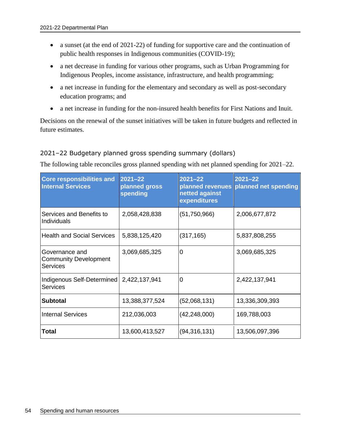- a sunset (at the end of 2021-22) of funding for supportive care and the continuation of public health responses in Indigenous communities (COVID-19);
- a net decrease in funding for various other programs, such as Urban Programming for Indigenous Peoples, income assistance, infrastructure, and health programming;
- a net increase in funding for the elementary and secondary as well as post-secondary education programs; and
- a net increase in funding for the non-insured health benefits for First Nations and Inuit.

Decisions on the renewal of the sunset initiatives will be taken in future budgets and reflected in future estimates.

### 2021–22 Budgetary planned gross spending summary (dollars)

The following table reconciles gross planned spending with net planned spending for 2021–22.

| <b>Core responsibilities and</b><br><b>Internal Services</b> | $2021 - 22$<br>planned gross<br>spending | $2021 - 22$<br>planned revenues<br>netted against<br>expenditures | $2021 - 22$<br>planned net spending |
|--------------------------------------------------------------|------------------------------------------|-------------------------------------------------------------------|-------------------------------------|
| Services and Benefits to<br>Individuals                      | 2,058,428,838                            | (51,750,966)                                                      | 2,006,677,872                       |
| <b>Health and Social Services</b>                            | 5,838,125,420                            | (317, 165)                                                        | 5,837,808,255                       |
| Governance and<br><b>Community Development</b><br>Services   | 3,069,685,325                            | $\overline{0}$                                                    | 3,069,685,325                       |
| Indigenous Self-Determined<br>Services                       | 2,422,137,941                            | 0                                                                 | 2,422,137,941                       |
| <b>Subtotal</b>                                              | 13,388,377,524                           | (52,068,131)                                                      | 13,336,309,393                      |
| <b>Internal Services</b>                                     | 212,036,003                              | (42, 248, 000)                                                    | 169,788,003                         |
| Total                                                        | 13,600,413,527                           | (94, 316, 131)                                                    | 13,506,097,396                      |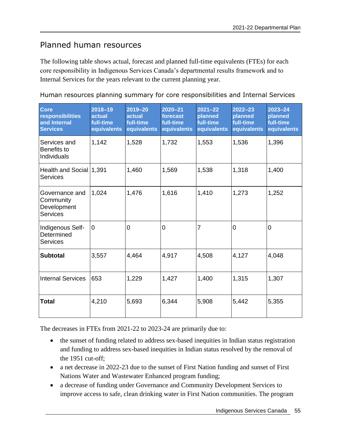# Planned human resources

The following table shows actual, forecast and planned full-time equivalents (FTEs) for each core responsibility in Indigenous Services Canada's departmental results framework and to Internal Services for the years relevant to the current planning year.

Human resources planning summary for core responsibilities and Internal Services

| <b>Core</b><br>responsibilities<br>and Internal<br><b>Services</b> | $2018 - 19$<br>actual<br>full-time<br>equivalents | $2019 - 20$<br>actual<br>full-time<br>equivalents | $2020 - 21$<br>forecast<br>full-time<br>equivalents | $2021 - 22$<br>planned<br>full-time<br>equivalents | $2022 - 23$<br>planned<br>full-time<br>equivalents | $2023 - 24$<br>planned<br>full-time<br>equivalents |
|--------------------------------------------------------------------|---------------------------------------------------|---------------------------------------------------|-----------------------------------------------------|----------------------------------------------------|----------------------------------------------------|----------------------------------------------------|
| Services and<br>Benefits to<br><b>Individuals</b>                  | 1,142                                             | 1,528                                             | 1,732                                               | 1,553                                              | 1,536                                              | 1,396                                              |
| Health and Social 1,391<br><b>Services</b>                         |                                                   | 1,460                                             | 1,569                                               | 1,538                                              | 1,318                                              | 1,400                                              |
| Governance and<br>Community<br>Development<br><b>Services</b>      | 1,024                                             | 1,476                                             | 1,616                                               | 1,410                                              | 1,273                                              | 1,252                                              |
| Indigenous Self-<br>Determined<br><b>Services</b>                  | $\mathbf 0$                                       | $\mathbf 0$                                       | $\mathbf 0$                                         | $\overline{7}$                                     | $\mathbf 0$                                        | $\mathbf 0$                                        |
| <b>Subtotal</b>                                                    | 3,557                                             | 4,464                                             | 4,917                                               | 4,508                                              | 4,127                                              | 4,048                                              |
| <b>Internal Services</b>                                           | 653                                               | 1,229                                             | 1,427                                               | 1,400                                              | 1,315                                              | 1,307                                              |
| Total                                                              | 4,210                                             | 5,693                                             | 6,344                                               | 5,908                                              | 5,442                                              | 5,355                                              |

The decreases in FTEs from 2021-22 to 2023-24 are primarily due to:

- the sunset of funding related to address sex-based inequities in Indian status registration and funding to address sex-based inequities in Indian status resolved by the removal of the 1951 cut-off;
- a net decrease in 2022-23 due to the sunset of First Nation funding and sunset of First Nations Water and Wastewater Enhanced program funding;
- a decrease of funding under Governance and Community Development Services to improve access to safe, clean drinking water in First Nation communities. The program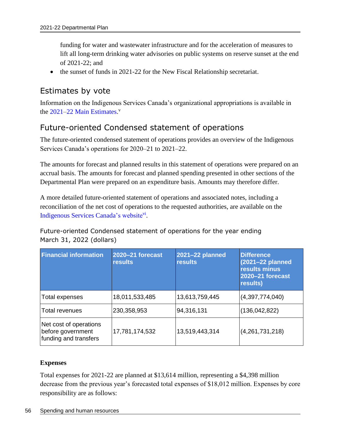funding for water and wastewater infrastructure and for the acceleration of measures to lift all long-term drinking water advisories on public systems on reserve sunset at the end of 2021-22; and

• the sunset of funds in 2021-22 for the New Fiscal Relationship secretariat.

## Estimates by vote

Information on the Indigenous Services Canada's organizational appropriations is available in the [2021–22 Main Estimates.](http://www.tbs-sct.gc.ca/hgw-cgf/finances/pgs-pdg/gepme-pdgbpd/index-eng.asp)<sup>v</sup>

## Future-oriented Condensed statement of operations

The future-oriented condensed statement of operations provides an overview of the Indigenous Services Canada's operations for 2020–21 to 2021–22.

The amounts for forecast and planned results in this statement of operations were prepared on an accrual basis. The amounts for forecast and planned spending presented in other sections of the Departmental Plan were prepared on an expenditure basis. Amounts may therefore differ.

A more detailed future-oriented statement of operations and associated notes, including a reconciliation of the net cost of operations to the requested authorities, are available on the [Indigenous Services Canada's website](https://www.sac-isc.gc.ca/eng/1536161023712/1536161049938)vi.

Future-oriented Condensed statement of operations for the year ending March 31, 2022 (dollars)

| <b>Financial information</b>                                         | 2020-21 forecast<br><b>results</b> | 2021-22 planned<br><b>results</b> | <b>Difference</b><br>(2021-22 planned<br>results minus<br><b>2020-21 forecast</b><br>results) |
|----------------------------------------------------------------------|------------------------------------|-----------------------------------|-----------------------------------------------------------------------------------------------|
| Total expenses                                                       | 18,011,533,485                     | 13,613,759,445                    | (4,397,774,040)                                                                               |
| Total revenues                                                       | 230,358,953                        | 94,316,131                        | (136, 042, 822)                                                                               |
| Net cost of operations<br>before government<br>funding and transfers | 17,781,174,532                     | 13,519,443,314                    | (4,261,731,218)                                                                               |

### **Expenses**

Total expenses for 2021-22 are planned at \$13,614 million, representing a \$4,398 million decrease from the previous year's forecasted total expenses of \$18,012 million. Expenses by core responsibility are as follows: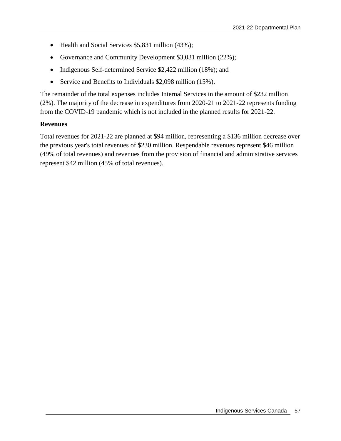- Health and Social Services \$5,831 million (43%);
- Governance and Community Development \$3,031 million (22%);
- Indigenous Self-determined Service \$2,422 million (18%); and
- Service and Benefits to Individuals \$2,098 million (15%).

The remainder of the total expenses includes Internal Services in the amount of \$232 million (2%). The majority of the decrease in expenditures from 2020-21 to 2021-22 represents funding from the COVID-19 pandemic which is not included in the planned results for 2021-22.

#### **Revenues**

Total revenues for 2021-22 are planned at \$94 million, representing a \$136 million decrease over the previous year's total revenues of \$230 million. Respendable revenues represent \$46 million (49% of total revenues) and revenues from the provision of financial and administrative services represent \$42 million (45% of total revenues).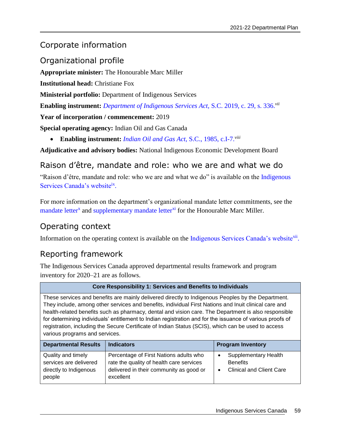# Corporate information

# Organizational profile

**Appropriate minister:** The Honourable Marc Miller **Institutional head: Christiane Fox Ministerial portfolio:** Department of Indigenous Services **Enabling instrument:** *[Department of Indigenous Services Act,](https://laws-lois.justice.gc.ca/eng/acts/I-7.88/index.html)* S.C. 2019, c. 29, s. 336.*vii* **Year of incorporation / commencement:** 2019 **Special operating agency:** Indian Oil and Gas Canada **Enabling instrument:** *[Indian Oil and Gas Act](https://laws-lois.justice.gc.ca/eng/acts/i-7/)*, S.C., 1985, c.I-7.*viii*

**Adjudicative and advisory bodies:** National Indigenous Economic Development Board

## Raison d'être, mandate and role: who we are and what we do

"Raison d'être, mandate and role: who we are and what we do" is available on the Indigenous [Services Canada's website](https://www.sac-isc.gc.ca/eng/1539284416739/1539284508506)ix.

For more information on the department's organizational mandate letter commitments, see the [mandate letter](https://pm.gc.ca/en/mandate-letters/2019/12/13/minister-indigenous-services-mandate-letter)<sup>x</sup> and [supplementary mandate letter](https://pm.gc.ca/en/mandate-letters/2021/01/15/minister-indigenous-services-supplementary-mandate-letter)<sup>xi</sup> for the Honourable Marc Miller.

## Operating context

Information on the operating context is available on the [Indigenous Services Canada's website](https://www.sac-isc.gc.ca/eng/1611597830871)<sup>xii</sup>.

# Reporting framework

The Indigenous Services Canada approved departmental results framework and program inventory for 2020–21 are as follows.

#### **Core Responsibility 1: Services and Benefits to Individuals**

These services and benefits are mainly delivered directly to Indigenous Peoples by the Department. They include, among other services and benefits, individual First Nations and Inuit clinical care and health-related benefits such as pharmacy, dental and vision care. The Department is also responsible for determining individuals' entitlement to Indian registration and for the issuance of various proofs of registration, including the Secure Certificate of Indian Status (SCIS), which can be used to access various programs and services.

| <b>Departmental Results</b>                                                      | <b>Indicators</b>                                                                                                                          | <b>Program Inventory</b>                                                          |
|----------------------------------------------------------------------------------|--------------------------------------------------------------------------------------------------------------------------------------------|-----------------------------------------------------------------------------------|
| Quality and timely<br>services are delivered<br>directly to Indigenous<br>people | Percentage of First Nations adults who<br>rate the quality of health care services<br>delivered in their community as good or<br>excellent | <b>Supplementary Health</b><br><b>Benefits</b><br><b>Clinical and Client Care</b> |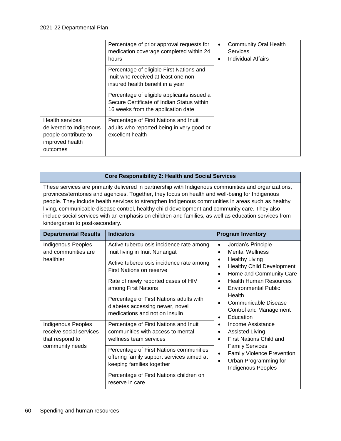|                                                                                                          | Percentage of prior approval requests for<br>medication coverage completed within 24<br>hours                                  | <b>Community Oral Health</b><br>٠<br>Services<br>Individual Affairs<br>$\bullet$ |
|----------------------------------------------------------------------------------------------------------|--------------------------------------------------------------------------------------------------------------------------------|----------------------------------------------------------------------------------|
|                                                                                                          | Percentage of eligible First Nations and<br>Inuit who received at least one non-<br>insured health benefit in a year           |                                                                                  |
|                                                                                                          | Percentage of eligible applicants issued a<br>Secure Certificate of Indian Status within<br>16 weeks from the application date |                                                                                  |
| <b>Health services</b><br>delivered to Indigenous<br>people contribute to<br>improved health<br>outcomes | Percentage of First Nations and Inuit<br>adults who reported being in very good or<br>excellent health                         |                                                                                  |

#### **Core Responsibility 2: Health and Social Services**

These services are primarily delivered in partnership with Indigenous communities and organizations, provinces/territories and agencies. Together, they focus on health and well-being for Indigenous people. They include health services to strengthen Indigenous communities in areas such as healthy living, communicable disease control, healthy child development and community care. They also include social services with an emphasis on children and families, as well as education services from kindergarten to post-secondary.

| <b>Departmental Results</b>                                                                                                | <b>Indicators</b>                                                                                                 | <b>Program Inventory</b>                                                                                                                                                                                                                                                                                                                                                                  |
|----------------------------------------------------------------------------------------------------------------------------|-------------------------------------------------------------------------------------------------------------------|-------------------------------------------------------------------------------------------------------------------------------------------------------------------------------------------------------------------------------------------------------------------------------------------------------------------------------------------------------------------------------------------|
| Indigenous Peoples<br>and communities are<br>healthier<br>Indigenous Peoples<br>receive social services<br>that respond to | Active tuberculosis incidence rate among<br>Inuit living in Inuit Nunangat                                        | Jordan's Principle<br>$\bullet$<br><b>Mental Wellness</b><br>$\bullet$                                                                                                                                                                                                                                                                                                                    |
|                                                                                                                            | Active tuberculosis incidence rate among<br>First Nations on reserve                                              | <b>Healthy Living</b><br>$\bullet$<br><b>Healthy Child Development</b><br>$\bullet$<br>Home and Community Care<br>٠                                                                                                                                                                                                                                                                       |
|                                                                                                                            | Rate of newly reported cases of HIV<br>among First Nations                                                        | <b>Health Human Resources</b><br>٠<br><b>Environmental Public</b><br>Health<br>Communicable Disease<br>$\bullet$<br><b>Control and Management</b><br>Education<br>Income Assistance<br>٠<br><b>Assisted Living</b><br>First Nations Child and<br>$\bullet$<br><b>Family Services</b><br><b>Family Violence Prevention</b><br>٠<br>Urban Programming for<br>٠<br><b>Indigenous Peoples</b> |
|                                                                                                                            | Percentage of First Nations adults with<br>diabetes accessing newer, novel<br>medications and not on insulin      |                                                                                                                                                                                                                                                                                                                                                                                           |
|                                                                                                                            | Percentage of First Nations and Inuit<br>communities with access to mental<br>wellness team services              |                                                                                                                                                                                                                                                                                                                                                                                           |
| community needs                                                                                                            | Percentage of First Nations communities<br>offering family support services aimed at<br>keeping families together |                                                                                                                                                                                                                                                                                                                                                                                           |
|                                                                                                                            | Percentage of First Nations children on<br>reserve in care                                                        |                                                                                                                                                                                                                                                                                                                                                                                           |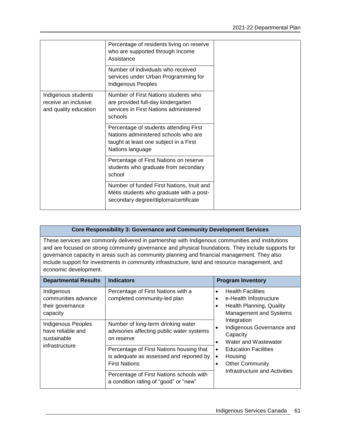|                                                                      | Percentage of residents living on reserve<br>who are supported through Income<br>Assistance                                                  |
|----------------------------------------------------------------------|----------------------------------------------------------------------------------------------------------------------------------------------|
|                                                                      | Number of individuals who received<br>services under Urban Programming for<br>Indigenous Peoples                                             |
| Indigenous students<br>receive an inclusive<br>and quality education | Number of First Nations students who<br>are provided full-day kindergarten<br>services in First Nations administered<br>schools              |
|                                                                      | Percentage of students attending First<br>Nations administered schools who are<br>taught at least one subject in a First<br>Nations language |
|                                                                      | Percentage of First Nations on reserve<br>students who graduate from secondary<br>school                                                     |
|                                                                      | Number of funded First Nations, Inuit and<br>Métis students who graduate with a post-<br>secondary degree/diploma/certificate                |

#### **Core Responsibility 3: Governance and Community Development Services**

These services are commonly delivered in partnership with Indigenous communities and institutions and are focused on strong community governance and physical foundations. They include supports for governance capacity in areas such as community planning and financial management. They also include support for investments in community infrastructure, land and resource management, and economic development.

| <b>Departmental Results</b>                                              | <b>Indicators</b>                                                                                           | <b>Program Inventory</b>                                                                                        |
|--------------------------------------------------------------------------|-------------------------------------------------------------------------------------------------------------|-----------------------------------------------------------------------------------------------------------------|
| Indigenous<br>communities advance<br>their governance<br>capacity        | Percentage of First Nations with a<br>completed community-led plan                                          | <b>Health Facilities</b><br>e-Health Infostructure<br>Health Planning, Quality<br><b>Management and Systems</b> |
| Indigenous Peoples<br>have reliable and<br>sustainable<br>infrastructure | Number of long-term drinking water<br>advisories affecting public water systems<br>on reserve               | Integration<br>Indigenous Governance and<br>Capacity<br>Water and Wastewater                                    |
|                                                                          | Percentage of First Nations housing that<br>is adequate as assessed and reported by<br><b>First Nations</b> | <b>Education Facilities</b><br>Housing<br>٠<br><b>Other Community</b>                                           |
|                                                                          | Percentage of First Nations schools with<br>a condition rating of "good" or "new"                           | Infrastructure and Activities                                                                                   |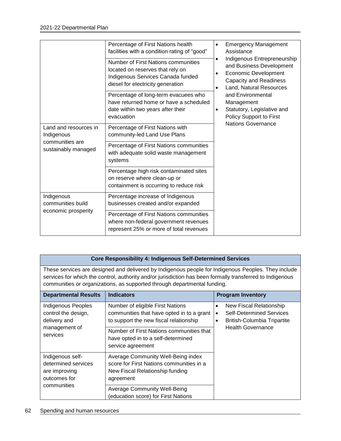|                                                                               | Percentage of First Nations health<br>facilities with a condition rating of "good"<br>Number of First Nations communities<br>located on reserves that rely on<br>Indigenous Services Canada funded<br>diesel for electricity generation | $\bullet$<br>$\bullet$<br>$\bullet$<br>$\bullet$ | <b>Emergency Management</b><br>Assistance<br>Indigenous Entrepreneurship<br>and Business Development<br><b>Economic Development</b><br><b>Capacity and Readiness</b><br>Land, Natural Resources<br>and Environmental<br>Management<br>Statutory, Legislative and<br>Policy Support to First<br><b>Nations Governance</b> |
|-------------------------------------------------------------------------------|-----------------------------------------------------------------------------------------------------------------------------------------------------------------------------------------------------------------------------------------|--------------------------------------------------|--------------------------------------------------------------------------------------------------------------------------------------------------------------------------------------------------------------------------------------------------------------------------------------------------------------------------|
|                                                                               | Percentage of long-term evacuees who<br>have returned home or have a scheduled<br>date within two years after their<br>evacuation                                                                                                       | $\bullet$                                        |                                                                                                                                                                                                                                                                                                                          |
| Land and resources in<br>Indigenous<br>communities are<br>sustainably managed | Percentage of First Nations with<br>community-led Land Use Plans                                                                                                                                                                        |                                                  |                                                                                                                                                                                                                                                                                                                          |
|                                                                               | Percentage of First Nations communities<br>with adequate solid waste management<br>systems                                                                                                                                              |                                                  |                                                                                                                                                                                                                                                                                                                          |
|                                                                               | Percentage high risk contaminated sites<br>on reserve where clean-up or<br>containment is occurring to reduce risk                                                                                                                      |                                                  |                                                                                                                                                                                                                                                                                                                          |
| Indigenous<br>communities build<br>economic prosperity                        | Percentage increase of Indigenous<br>businesses created and/or expanded                                                                                                                                                                 |                                                  |                                                                                                                                                                                                                                                                                                                          |
|                                                                               | Percentage of First Nations communities<br>where non-federal government revenues<br>represent 25% or more of total revenues                                                                                                             |                                                  |                                                                                                                                                                                                                                                                                                                          |

#### **Core Responsibility 4: Indigenous Self-Determined Services**

These services are designed and delivered by Indigenous people for Indigenous Peoples. They include services for which the control, authority and/or jurisdiction has been formally transferred to Indigenous communities or organizations, as supported through departmental funding.

| <b>Departmental Results</b>                                                            | <b>Indicators</b>                                                                                                              | <b>Program Inventory</b>                                                                                                                    |
|----------------------------------------------------------------------------------------|--------------------------------------------------------------------------------------------------------------------------------|---------------------------------------------------------------------------------------------------------------------------------------------|
| Indigenous Peoples<br>control the design,<br>delivery and<br>management of<br>services | Number of eligible First Nations<br>communities that have opted in to a grant<br>to support the new fiscal relationship        | New Fiscal Relationship<br>٠<br><b>Self-Determined Services</b><br>٠<br><b>British-Columbia Tripartite</b><br>٠<br><b>Health Governance</b> |
|                                                                                        | Number of First Nations communities that<br>have opted in to a self-determined<br>service agreement                            |                                                                                                                                             |
| Indigenous self-<br>determined services<br>are improving<br>outcomes for               | Average Community Well-Being index<br>score for First Nations communities in a<br>New Fiscal Relationship funding<br>agreement |                                                                                                                                             |
| communities                                                                            | <b>Average Community Well-Being</b><br>(education score) for First Nations                                                     |                                                                                                                                             |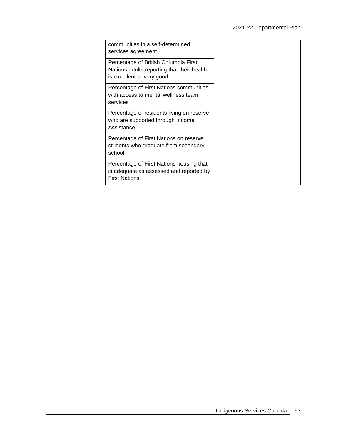| communities in a self-determined<br>services agreement                                                          |  |
|-----------------------------------------------------------------------------------------------------------------|--|
| Percentage of British Columbia First<br>Nations adults reporting that their health<br>is excellent or very good |  |
| Percentage of First Nations communities<br>with access to mental wellness team<br>services                      |  |
| Percentage of residents living on reserve<br>who are supported through Income<br>Assistance                     |  |
| Percentage of First Nations on reserve<br>students who graduate from secondary<br>school                        |  |
| Percentage of First Nations housing that<br>is adequate as assessed and reported by<br><b>First Nations</b>     |  |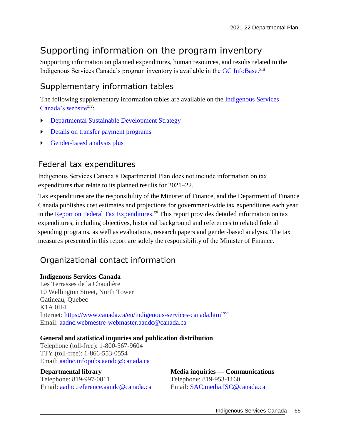# Supporting information on the program inventory

Supporting information on planned expenditures, human resources, and results related to the Indigenous Services Canada's program inventory is available in the GC [InfoBase.](https://www.tbs-sct.gc.ca/ems-sgd/edb-bdd/index-eng.html)<sup>xiii</sup>

# Supplementary information tables

The following supplementary information tables are available on the [Indigenous Services](https://www.sac-isc.gc.ca/eng/1523548227958)  [Canada's website](https://www.sac-isc.gc.ca/eng/1523548227958)xiv:

- [Departmental Sustainable Development Strategy](https://www.sac-isc.gc.ca/eng/1599595545458/1599595573698)
- [Details on transfer payment programs](https://www.sac-isc.gc.ca/eng/1611597632387)
- [Gender-based analysis plus](https://www.sac-isc.gc.ca/eng/1611597438195)

## Federal tax expenditures

Indigenous Services Canada's Departmental Plan does not include information on tax expenditures that relate to its planned results for 2021–22.

Tax expenditures are the responsibility of the Minister of Finance, and the Department of Finance Canada publishes cost estimates and projections for government-wide tax expenditures each year in the [Report on Federal Tax Expenditures.](https://www.canada.ca/en/department-finance/services/publications/federal-tax-expenditures.html)<sup>xv</sup> This report provides detailed information on tax expenditures, including objectives, historical background and references to related federal spending programs, as well as evaluations, research papers and gender-based analysis. The tax measures presented in this report are solely the responsibility of the Minister of Finance.

# Organizational contact information

### **Indigenous Services Canada**

Les Terrasses de la Chaudière 10 Wellington Street, North Tower Gatineau, Quebec K1A 0H4 Internet: <https://www.canada.ca/en/indigenous-services-canada.html><sup>xvi</sup> Email: [aadnc.webmestre-webmaster.aandc@canada.ca](mailto:aadnc.webmestre-webmaster.aandc@canada.ca)

### **General and statistical inquiries and publication distribution**

Telephone (toll-free): 1-800-567-9604 TTY (toll-free): 1-866-553-0554 Email: [aadnc.infopubs.aandc@canada.ca](mailto:aadnc.infopubs.aandc@canada.ca)

#### **Departmental library**

Telephone: 819-997-0811 Email: [aadnc.reference.aandc@canada.ca](mailto:aadnc.reference.aandc@canada.ca) **Media inquiries — Communications** Telephone: 819-953-1160 Email: [SAC.media.ISC@canada.ca](mailto:SAC.media.ISC@canada.ca)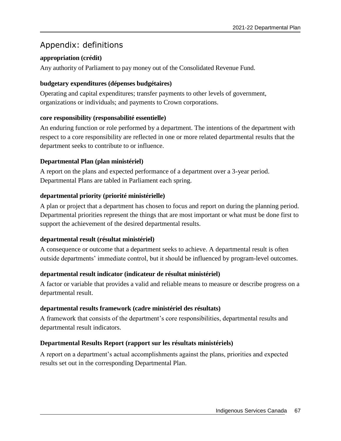# Appendix: definitions

## **appropriation (crédit)**

Any authority of Parliament to pay money out of the Consolidated Revenue Fund.

### **budgetary expenditures (dépenses budgétaires)**

Operating and capital expenditures; transfer payments to other levels of government, organizations or individuals; and payments to Crown corporations.

### **core responsibility (responsabilité essentielle)**

An enduring function or role performed by a department. The intentions of the department with respect to a core responsibility are reflected in one or more related departmental results that the department seeks to contribute to or influence.

### **Departmental Plan (plan ministériel)**

A report on the plans and expected performance of a department over a 3-year period. Departmental Plans are tabled in Parliament each spring.

### **departmental priority (priorité ministérielle)**

A plan or project that a department has chosen to focus and report on during the planning period. Departmental priorities represent the things that are most important or what must be done first to support the achievement of the desired departmental results.

### **departmental result (résultat ministériel)**

A consequence or outcome that a department seeks to achieve. A departmental result is often outside departments' immediate control, but it should be influenced by program-level outcomes.

### **departmental result indicator (indicateur de résultat ministériel)**

A factor or variable that provides a valid and reliable means to measure or describe progress on a departmental result.

### **departmental results framework (cadre ministériel des résultats)**

A framework that consists of the department's core responsibilities, departmental results and departmental result indicators.

### **Departmental Results Report (rapport sur les résultats ministériels)**

A report on a department's actual accomplishments against the plans, priorities and expected results set out in the corresponding Departmental Plan.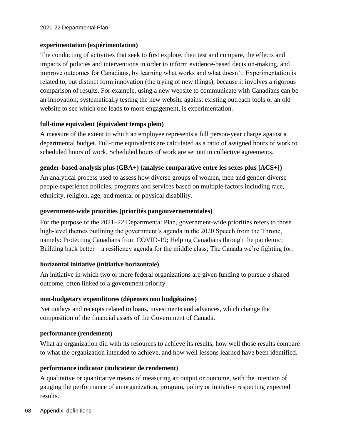### **experimentation (expérimentation)**

The conducting of activities that seek to first explore, then test and compare, the effects and impacts of policies and interventions in order to inform evidence-based decision-making, and improve outcomes for Canadians, by learning what works and what doesn't. Experimentation is related to, but distinct form innovation (the trying of new things), because it involves a rigorous comparison of results. For example, using a new website to communicate with Canadians can be an innovation; systematically testing the new website against existing outreach tools or an old website to see which one leads to more engagement, is experimentation.

#### **full-time equivalent (équivalent temps plein)**

A measure of the extent to which an employee represents a full person-year charge against a departmental budget. Full-time equivalents are calculated as a ratio of assigned hours of work to scheduled hours of work. Scheduled hours of work are set out in collective agreements.

#### **gender-based analysis plus (GBA+) (analyse comparative entre les sexes plus [ACS+])**

An analytical process used to assess how diverse groups of women, men and gender-diverse people experience policies, programs and services based on multiple factors including race, ethnicity, religion, age, and mental or physical disability.

#### **government-wide priorities (priorités pangouvernementales)**

For the purpose of the 2021–22 Departmental Plan, government-wide priorities refers to those high-level themes outlining the government's agenda in the 2020 Speech from the Throne, namely: Protecting Canadians from COVID-19; Helping Canadians through the pandemic; Building back better – a resiliency agenda for the middle class; The Canada we're fighting for.

#### **horizontal initiative (initiative horizontale)**

An initiative in which two or more federal organizations are given funding to pursue a shared outcome, often linked to a government priority.

#### **non-budgetary expenditures (dépenses non budgétaires)**

Net outlays and receipts related to loans, investments and advances, which change the composition of the financial assets of the Government of Canada.

#### **performance (rendement)**

What an organization did with its resources to achieve its results, how well those results compare to what the organization intended to achieve, and how well lessons learned have been identified.

#### **performance indicator (indicateur de rendement)**

A qualitative or quantitative means of measuring an output or outcome, with the intention of gauging the performance of an organization, program, policy or initiative respecting expected results.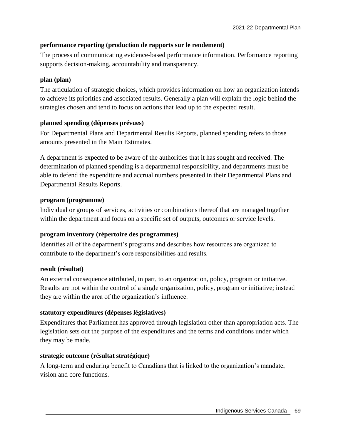## **performance reporting (production de rapports sur le rendement)**

The process of communicating evidence-based performance information. Performance reporting supports decision-making, accountability and transparency.

## **plan (plan)**

The articulation of strategic choices, which provides information on how an organization intends to achieve its priorities and associated results. Generally a plan will explain the logic behind the strategies chosen and tend to focus on actions that lead up to the expected result.

## **planned spending (dépenses prévues)**

For Departmental Plans and Departmental Results Reports, planned spending refers to those amounts presented in the Main Estimates.

A department is expected to be aware of the authorities that it has sought and received. The determination of planned spending is a departmental responsibility, and departments must be able to defend the expenditure and accrual numbers presented in their Departmental Plans and Departmental Results Reports.

### **program (programme)**

Individual or groups of services, activities or combinations thereof that are managed together within the department and focus on a specific set of outputs, outcomes or service levels.

# **program inventory (répertoire des programmes)**

Identifies all of the department's programs and describes how resources are organized to contribute to the department's core responsibilities and results.

### **result (résultat)**

An external consequence attributed, in part, to an organization, policy, program or initiative. Results are not within the control of a single organization, policy, program or initiative; instead they are within the area of the organization's influence.

# **statutory expenditures (dépenses législatives)**

Expenditures that Parliament has approved through legislation other than appropriation acts. The legislation sets out the purpose of the expenditures and the terms and conditions under which they may be made.

# **strategic outcome (résultat stratégique)**

A long-term and enduring benefit to Canadians that is linked to the organization's mandate, vision and core functions.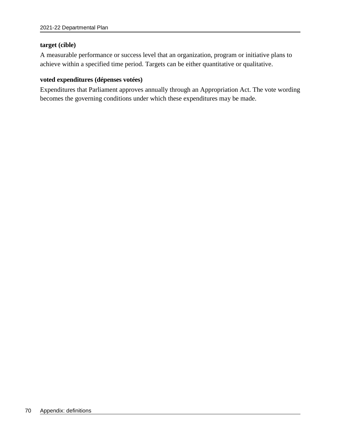#### **target (cible)**

A measurable performance or success level that an organization, program or initiative plans to achieve within a specified time period. Targets can be either quantitative or qualitative.

#### **voted expenditures (dépenses votées)**

Expenditures that Parliament approves annually through an Appropriation Act. The vote wording becomes the governing conditions under which these expenditures may be made.